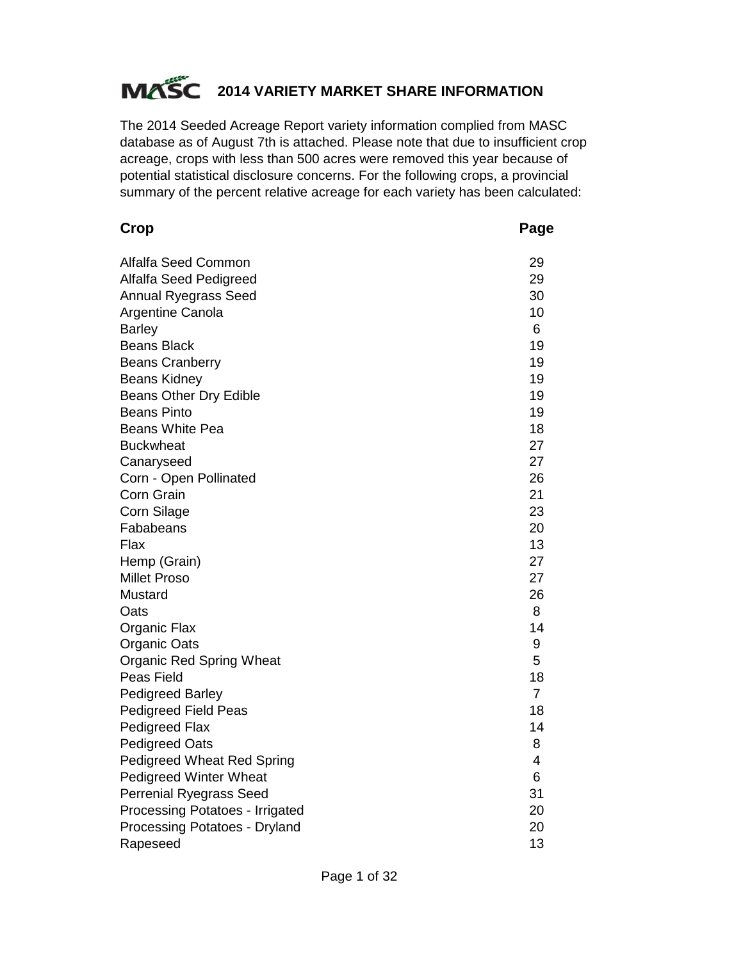# **MASC** 2014 VARIETY MARKET SHARE INFORMATION

The 2014 Seeded Acreage Report variety information complied from MASC database as of August 7th is attached. Please note that due to insufficient crop acreage, crops with less than 500 acres were removed this year because of potential statistical disclosure concerns. For the following crops, a provincial summary of the percent relative acreage for each variety has been calculated:

| Crop                              | Page           |
|-----------------------------------|----------------|
| <b>Alfalfa Seed Common</b>        | 29             |
| Alfalfa Seed Pedigreed            | 29             |
| <b>Annual Ryegrass Seed</b>       | 30             |
| Argentine Canola                  | 10             |
| <b>Barley</b>                     | 6              |
| <b>Beans Black</b>                | 19             |
| <b>Beans Cranberry</b>            | 19             |
| <b>Beans Kidney</b>               | 19             |
| Beans Other Dry Edible            | 19             |
| <b>Beans Pinto</b>                | 19             |
| <b>Beans White Pea</b>            | 18             |
| <b>Buckwheat</b>                  | 27             |
| Canaryseed                        | 27             |
| Corn - Open Pollinated            | 26             |
| <b>Corn Grain</b>                 | 21             |
| <b>Corn Silage</b>                | 23             |
| Fababeans                         | 20             |
| Flax                              | 13             |
| Hemp (Grain)                      | 27             |
| <b>Millet Proso</b>               | 27             |
| Mustard                           | 26             |
| Oats                              | 8              |
| Organic Flax                      | 14             |
| Organic Oats                      | 9              |
| <b>Organic Red Spring Wheat</b>   | 5              |
| Peas Field                        | 18             |
| <b>Pedigreed Barley</b>           | $\overline{7}$ |
| <b>Pedigreed Field Peas</b>       | 18             |
| Pedigreed Flax                    | 14             |
| <b>Pedigreed Oats</b>             | 8              |
| <b>Pedigreed Wheat Red Spring</b> | 4              |
| <b>Pedigreed Winter Wheat</b>     | 6              |
| <b>Perrenial Ryegrass Seed</b>    | 31             |
| Processing Potatoes - Irrigated   | 20             |
| Processing Potatoes - Dryland     | 20             |
| Rapeseed                          | 13             |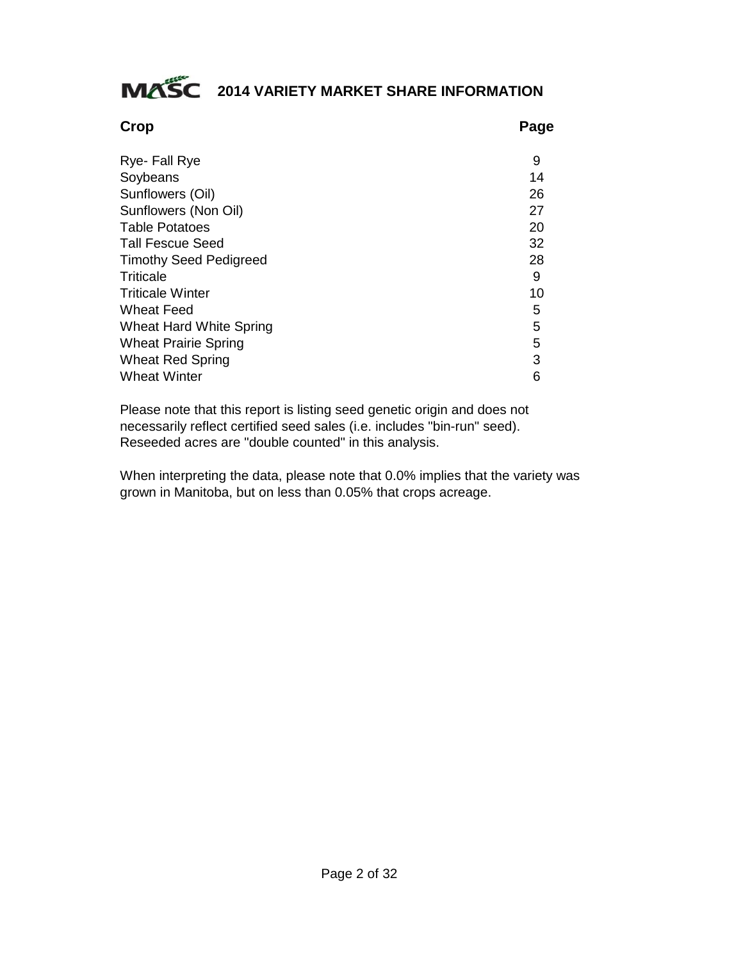# **MASC** 2014 VARIETY MARKET SHARE INFORMATION

| <b>Crop</b>                    | Page |
|--------------------------------|------|
| Rye- Fall Rye                  | 9    |
| Soybeans                       | 14   |
| Sunflowers (Oil)               | 26   |
| Sunflowers (Non Oil)           | 27   |
| <b>Table Potatoes</b>          | 20   |
| <b>Tall Fescue Seed</b>        | 32   |
| <b>Timothy Seed Pedigreed</b>  | 28   |
| Triticale                      | 9    |
| <b>Triticale Winter</b>        | 10   |
| Wheat Feed                     | 5    |
| <b>Wheat Hard White Spring</b> | 5    |
| <b>Wheat Prairie Spring</b>    | 5    |
| <b>Wheat Red Spring</b>        | 3    |
| <b>Wheat Winter</b>            | 6    |

Please note that this report is listing seed genetic origin and does not necessarily reflect certified seed sales (i.e. includes "bin-run" seed). Reseeded acres are "double counted" in this analysis.

When interpreting the data, please note that 0.0% implies that the variety was grown in Manitoba, but on less than 0.05% that crops acreage.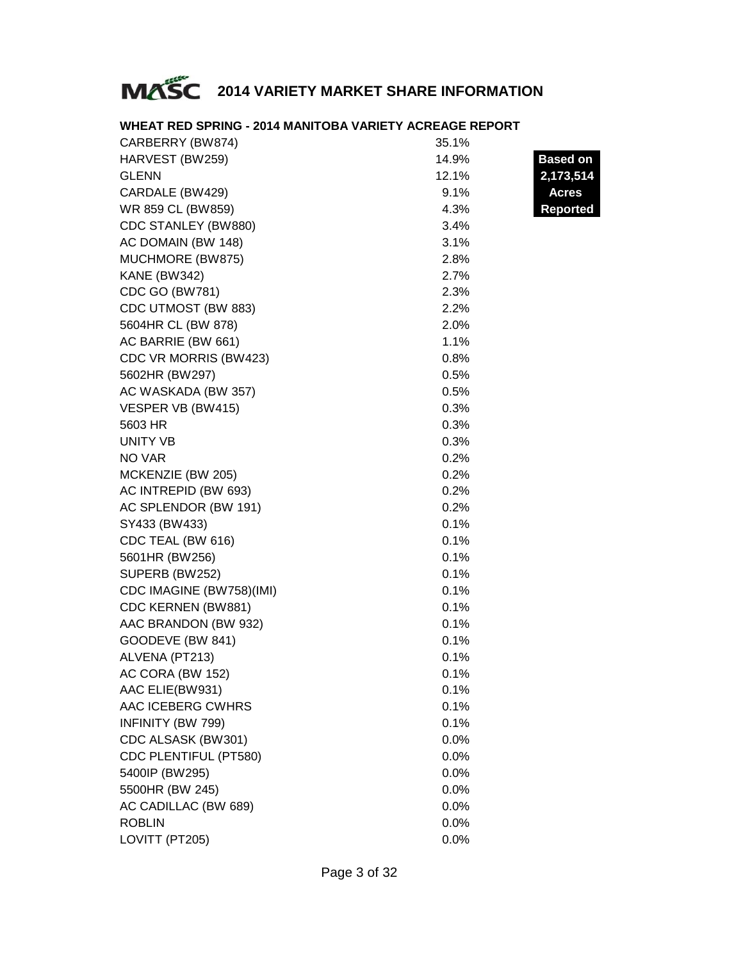# **MASC** 2014 VARIETY MARKET SHARE INFORMATION

| CARBERRY (BW874)         | 35.1% |                 |
|--------------------------|-------|-----------------|
| HARVEST (BW259)          | 14.9% | <b>Based on</b> |
| <b>GLENN</b>             | 12.1% | 2,173,514       |
| CARDALE (BW429)          | 9.1%  | <b>Acres</b>    |
| WR 859 CL (BW859)        | 4.3%  | <b>Reported</b> |
| CDC STANLEY (BW880)      | 3.4%  |                 |
| AC DOMAIN (BW 148)       | 3.1%  |                 |
| MUCHMORE (BW875)         | 2.8%  |                 |
| <b>KANE (BW342)</b>      | 2.7%  |                 |
| CDC GO (BW781)           | 2.3%  |                 |
| CDC UTMOST (BW 883)      | 2.2%  |                 |
| 5604HR CL (BW 878)       | 2.0%  |                 |
| AC BARRIE (BW 661)       | 1.1%  |                 |
| CDC VR MORRIS (BW423)    | 0.8%  |                 |
| 5602HR (BW297)           | 0.5%  |                 |
| AC WASKADA (BW 357)      | 0.5%  |                 |
| VESPER VB (BW415)        | 0.3%  |                 |
| 5603 HR                  | 0.3%  |                 |
| UNITY VB                 | 0.3%  |                 |
| <b>NO VAR</b>            | 0.2%  |                 |
| MCKENZIE (BW 205)        | 0.2%  |                 |
| AC INTREPID (BW 693)     | 0.2%  |                 |
| AC SPLENDOR (BW 191)     | 0.2%  |                 |
| SY433 (BW433)            | 0.1%  |                 |
| CDC TEAL (BW 616)        | 0.1%  |                 |
| 5601HR (BW256)           | 0.1%  |                 |
| SUPERB (BW252)           | 0.1%  |                 |
| CDC IMAGINE (BW758)(IMI) | 0.1%  |                 |
| CDC KERNEN (BW881)       | 0.1%  |                 |
| AAC BRANDON (BW 932)     | 0.1%  |                 |
| GOODEVE (BW 841)         | 0.1%  |                 |
| ALVENA (PT213)           | 0.1%  |                 |
| AC CORA (BW 152)         | 0.1%  |                 |
| AAC ELIE(BW931)          | 0.1%  |                 |
| AAC ICEBERG CWHRS        | 0.1%  |                 |
| INFINITY (BW 799)        | 0.1%  |                 |
| CDC ALSASK (BW301)       | 0.0%  |                 |
| CDC PLENTIFUL (PT580)    | 0.0%  |                 |
| 5400IP (BW295)           | 0.0%  |                 |
| 5500HR (BW 245)          | 0.0%  |                 |
| AC CADILLAC (BW 689)     | 0.0%  |                 |
| <b>ROBLIN</b>            | 0.0%  |                 |
| LOVITT (PT205)           | 0.0%  |                 |

# **WHEAT RED SPRING - 2014 MANITOBA VARIETY ACREAGE REPORT**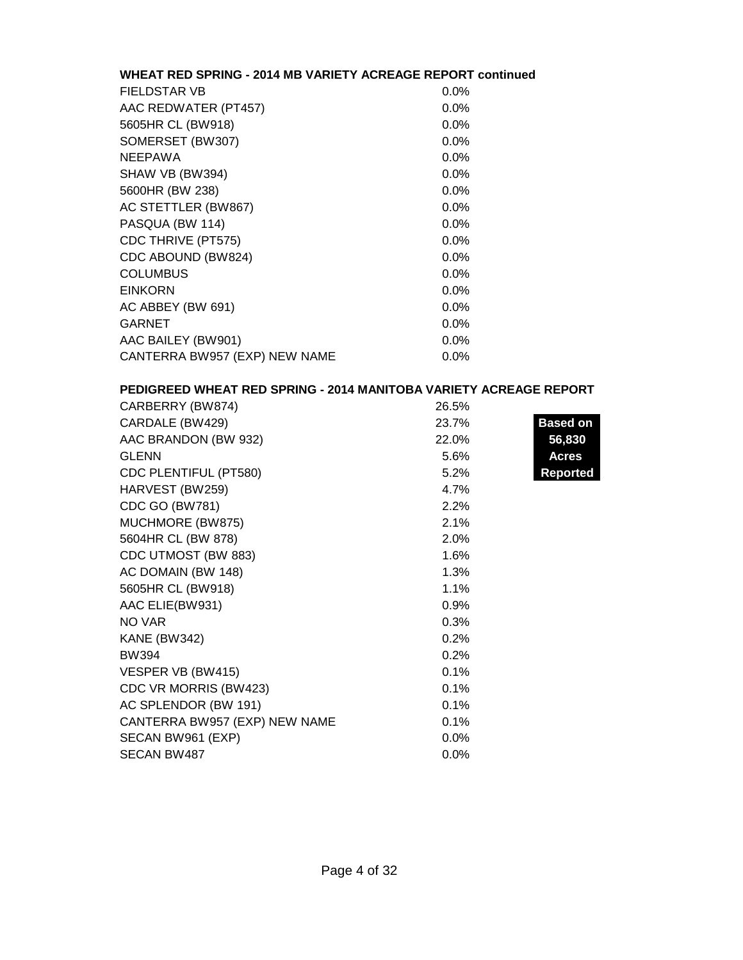# **WHEAT RED SPRING - 2014 MB VARIETY ACREAGE REPORT continued**

| $0.0\%$ |
|---------|
| $0.0\%$ |
| $0.0\%$ |
| 0.0%    |
| 0.0%    |
| $0.0\%$ |
| 0.0%    |
| $0.0\%$ |
| 0.0%    |
| $0.0\%$ |
| 0.0%    |
| 0.0%    |
| 0.0%    |
| 0.0%    |
| 0.0%    |
| $0.0\%$ |
| $0.0\%$ |
|         |

### **PEDIGREED WHEAT RED SPRING - 2014 MANITOBA VARIETY ACREAGE REPORT**

| CARBERRY (BW874)              | 26.5% |                 |
|-------------------------------|-------|-----------------|
| CARDALE (BW429)               | 23.7% | <b>Based on</b> |
| AAC BRANDON (BW 932)          | 22.0% | 56,830          |
| <b>GLENN</b>                  | 5.6%  | <b>Acres</b>    |
| CDC PLENTIFUL (PT580)         | 5.2%  | <b>Reported</b> |
| HARVEST (BW259)               | 4.7%  |                 |
| CDC GO (BW781)                | 2.2%  |                 |
| MUCHMORE (BW875)              | 2.1%  |                 |
| 5604HR CL (BW 878)            | 2.0%  |                 |
| CDC UTMOST (BW 883)           | 1.6%  |                 |
| AC DOMAIN (BW 148)            | 1.3%  |                 |
| 5605HR CL (BW918)             | 1.1%  |                 |
| AAC ELIE(BW931)               | 0.9%  |                 |
| NO VAR                        | 0.3%  |                 |
| <b>KANE (BW342)</b>           | 0.2%  |                 |
| <b>BW394</b>                  | 0.2%  |                 |
| VESPER VB (BW415)             | 0.1%  |                 |
| CDC VR MORRIS (BW423)         | 0.1%  |                 |
| AC SPLENDOR (BW 191)          | 0.1%  |                 |
| CANTERRA BW957 (EXP) NEW NAME | 0.1%  |                 |
| SECAN BW961 (EXP)             | 0.0%  |                 |
| <b>SECAN BW487</b>            | 0.0%  |                 |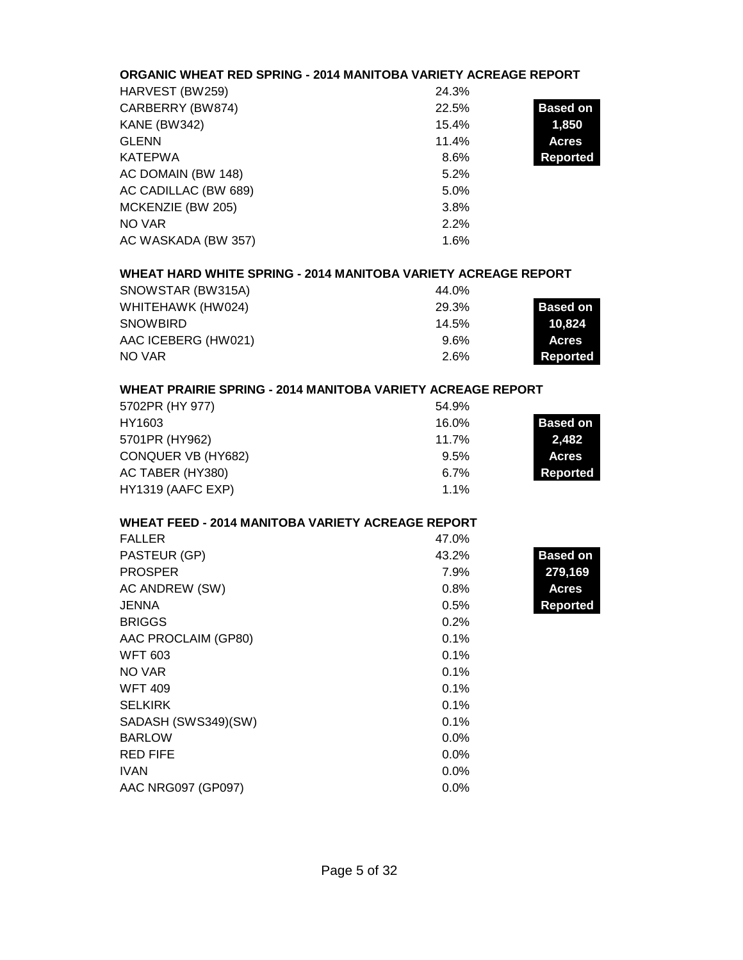# **ORGANIC WHEAT RED SPRING - 2014 MANITOBA VARIETY ACREAGE REPORT**

| HARVEST (BW259)      | 24.3% |                 |
|----------------------|-------|-----------------|
| CARBERRY (BW874)     | 22.5% | <b>Based on</b> |
| <b>KANE (BW342)</b>  | 15.4% | 1,850           |
| <b>GLENN</b>         | 11.4% | <b>Acres</b>    |
| KATEPWA              | 8.6%  | <b>Reported</b> |
| AC DOMAIN (BW 148)   | 5.2%  |                 |
| AC CADILLAC (BW 689) | 5.0%  |                 |
| MCKENZIE (BW 205)    | 3.8%  |                 |
| NO VAR               | 2.2%  |                 |
| AC WASKADA (BW 357)  | 1.6%  |                 |

# **WHEAT HARD WHITE SPRING - 2014 MANITOBA VARIETY ACREAGE REPORT**

| SNOWSTAR (BW315A)   | 44.0%   |                 |
|---------------------|---------|-----------------|
| WHITEHAWK (HW024)   | 29.3%   | <b>Based on</b> |
| <b>SNOWBIRD</b>     | 14.5%   | 10.824          |
| AAC ICEBERG (HW021) | $9.6\%$ | <b>Acres</b>    |
| NO VAR              | 2.6%    | Reported        |

# **WHEAT PRAIRIE SPRING - 2014 MANITOBA VARIETY ACREAGE REPORT**

| 5702PR (HY 977)    | 54.9%   |                 |
|--------------------|---------|-----------------|
| HY1603             | 16.0%   | <b>Based on</b> |
| 5701PR (HY962)     | 11.7%   | 2,482           |
| CONQUER VB (HY682) | $9.5\%$ | <b>Acres</b>    |
| AC TABER (HY380)   | 6.7%    | Reported        |
| HY1319 (AAFC EXP)  | $1.1\%$ |                 |

# **WHEAT FEED - 2014 MANITOBA VARIETY ACREAGE REPORT**

| <b>FALLER</b>       | 47.0%   |                 |
|---------------------|---------|-----------------|
| PASTEUR (GP)        | 43.2%   | <b>Based on</b> |
| <b>PROSPER</b>      | 7.9%    | 279,169         |
| AC ANDREW (SW)      | 0.8%    | <b>Acres</b>    |
| <b>JENNA</b>        | 0.5%    | <b>Reported</b> |
| <b>BRIGGS</b>       | 0.2%    |                 |
| AAC PROCLAIM (GP80) | 0.1%    |                 |
| <b>WFT 603</b>      | 0.1%    |                 |
| NO VAR              | 0.1%    |                 |
| <b>WFT 409</b>      | 0.1%    |                 |
| <b>SELKIRK</b>      | 0.1%    |                 |
| SADASH (SWS349)(SW) | 0.1%    |                 |
| <b>BARLOW</b>       | $0.0\%$ |                 |
| <b>RED FIFE</b>     | 0.0%    |                 |
| <b>IVAN</b>         | $0.0\%$ |                 |
| AAC NRG097 (GP097)  | $0.0\%$ |                 |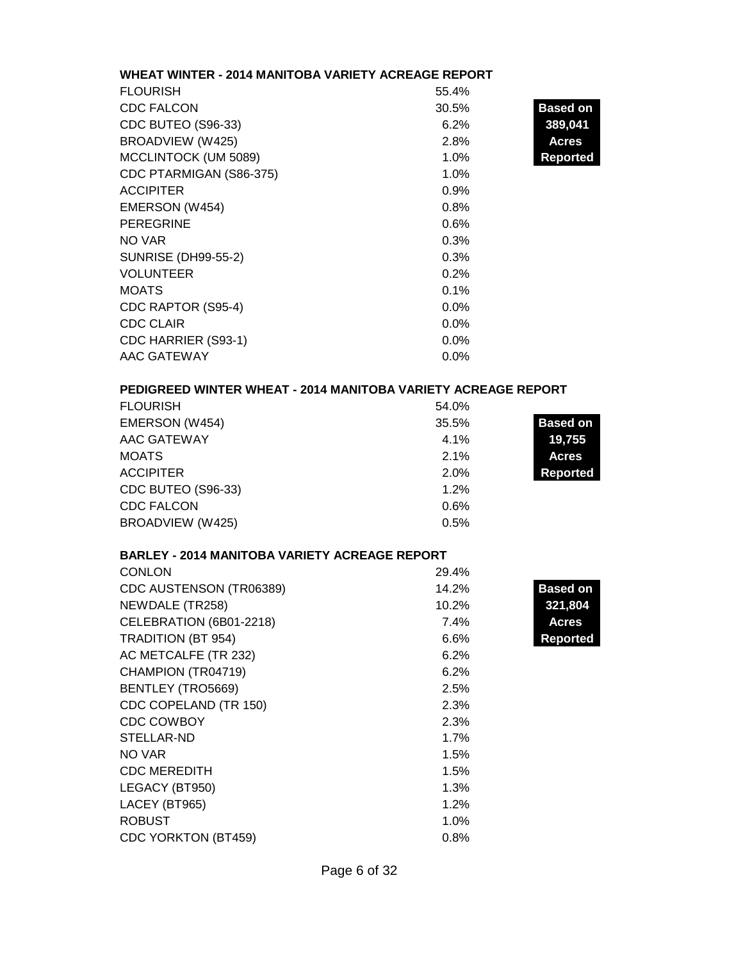# **WHEAT WINTER - 2014 MANITOBA VARIETY ACREAGE REPORT**

| <b>FLOURISH</b>            | 55.4% |                 |
|----------------------------|-------|-----------------|
| <b>CDC FALCON</b>          | 30.5% | <b>Based on</b> |
| CDC BUTEO (S96-33)         | 6.2%  | 389,041         |
| BROADVIEW (W425)           | 2.8%  | <b>Acres</b>    |
| MCCLINTOCK (UM 5089)       | 1.0%  | <b>Reported</b> |
| CDC PTARMIGAN (S86-375)    | 1.0%  |                 |
| <b>ACCIPITER</b>           | 0.9%  |                 |
| EMERSON (W454)             | 0.8%  |                 |
| <b>PEREGRINE</b>           | 0.6%  |                 |
| NO VAR                     | 0.3%  |                 |
| <b>SUNRISE (DH99-55-2)</b> | 0.3%  |                 |
| <b>VOLUNTEER</b>           | 0.2%  |                 |
| <b>MOATS</b>               | 0.1%  |                 |
| CDC RAPTOR (S95-4)         | 0.0%  |                 |
| <b>CDC CLAIR</b>           | 0.0%  |                 |
| CDC HARRIER (S93-1)        | 0.0%  |                 |
| AAC GATEWAY                | 0.0%  |                 |

# **PEDIGREED WINTER WHEAT - 2014 MANITOBA VARIETY ACREAGE REPORT**

| <b>FLOURISH</b>    | 54.0% |                 |
|--------------------|-------|-----------------|
| EMERSON (W454)     | 35.5% | <b>Based on</b> |
| AAC GATEWAY        | 4.1%  | 19,755          |
| <b>MOATS</b>       | 2.1%  | <b>Acres</b>    |
| <b>ACCIPITER</b>   | 2.0%  | <b>Reported</b> |
| CDC BUTEO (S96-33) | 1.2%  |                 |
| <b>CDC FALCON</b>  | 0.6%  |                 |
| BROADVIEW (W425)   | 0.5%  |                 |

#### **BARLEY - 2014 MANITOBA VARIETY ACREAGE REPORT**

| <b>CONLON</b>              | 29.4% |                 |
|----------------------------|-------|-----------------|
| CDC AUSTENSON (TR06389)    | 14.2% | <b>Based on</b> |
| NEWDALE (TR258)            | 10.2% | 321,804         |
| CELEBRATION (6B01-2218)    | 7.4%  | Acres           |
| <b>TRADITION (BT 954)</b>  | 6.6%  | <b>Reported</b> |
| AC METCALFE (TR 232)       | 6.2%  |                 |
| CHAMPION (TR04719)         | 6.2%  |                 |
| <b>BENTLEY (TRO5669)</b>   | 2.5%  |                 |
| CDC COPELAND (TR 150)      | 2.3%  |                 |
| <b>CDC COWBOY</b>          | 2.3%  |                 |
| STELLAR-ND                 | 1.7%  |                 |
| NO VAR                     | 1.5%  |                 |
| <b>CDC MEREDITH</b>        | 1.5%  |                 |
| LEGACY (BT950)             | 1.3%  |                 |
| LACEY (BT965)              | 1.2%  |                 |
| <b>ROBUST</b>              | 1.0%  |                 |
| <b>CDC YORKTON (BT459)</b> | 0.8%  |                 |
|                            |       |                 |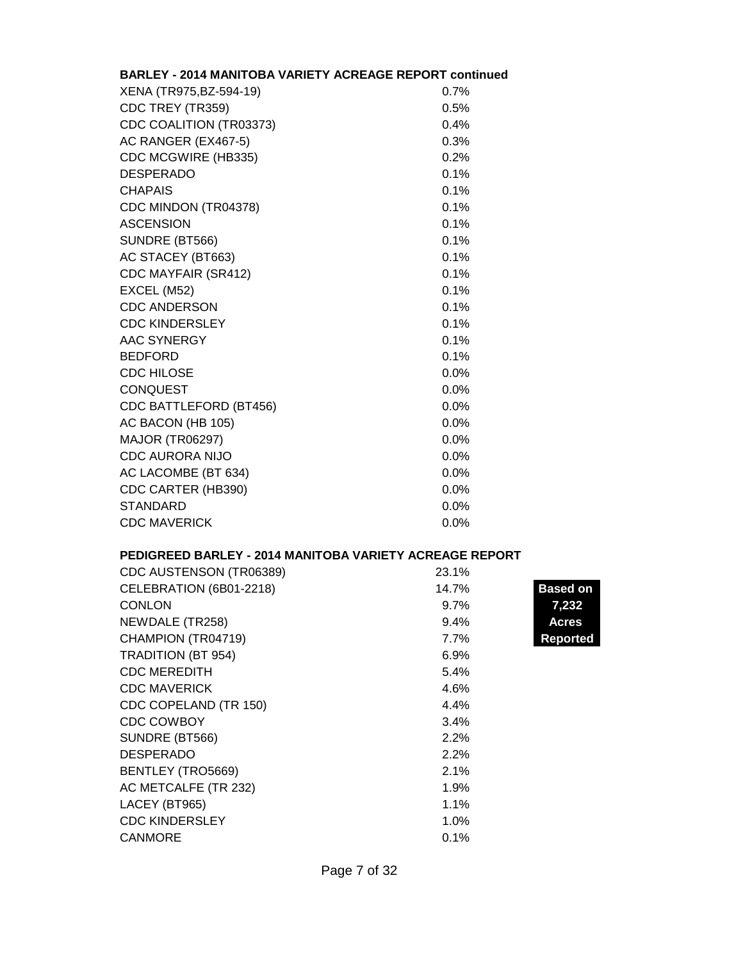| <b>BARLEY - 2014 MANITOBA VARIETY ACREAGE REPORT continued</b> |         |
|----------------------------------------------------------------|---------|
| XENA (TR975, BZ-594-19)                                        | 0.7%    |
| CDC TREY (TR359)                                               | 0.5%    |
| CDC COALITION (TR03373)                                        | 0.4%    |
| AC RANGER (EX467-5)                                            | 0.3%    |
| CDC MCGWIRE (HB335)                                            | 0.2%    |
| <b>DESPERADO</b>                                               | 0.1%    |
| <b>CHAPAIS</b>                                                 | 0.1%    |
| CDC MINDON (TR04378)                                           | 0.1%    |
| <b>ASCENSION</b>                                               | 0.1%    |
| SUNDRE (BT566)                                                 | 0.1%    |
| AC STACEY (BT663)                                              | 0.1%    |
| CDC MAYFAIR (SR412)                                            | 0.1%    |
| EXCEL (M52)                                                    | 0.1%    |
| <b>CDC ANDERSON</b>                                            | 0.1%    |
| <b>CDC KINDERSLEY</b>                                          | 0.1%    |
| <b>AAC SYNERGY</b>                                             | 0.1%    |
| <b>BEDFORD</b>                                                 | 0.1%    |
| <b>CDC HILOSE</b>                                              | 0.0%    |
| <b>CONQUEST</b>                                                | 0.0%    |
| CDC BATTLEFORD (BT456)                                         | 0.0%    |
| AC BACON (HB 105)                                              | $0.0\%$ |
| <b>MAJOR (TR06297)</b>                                         | 0.0%    |
| <b>CDC AURORA NIJO</b>                                         | 0.0%    |
| AC LACOMBE (BT 634)                                            | $0.0\%$ |
| CDC CARTER (HB390)                                             | 0.0%    |
| <b>STANDARD</b>                                                | 0.0%    |
| <b>CDC MAVERICK</b>                                            | 0.0%    |

# **PEDIGREED BARLEY - 2014 MANITOBA VARIETY ACREAGE REPORT**

| CDC AUSTENSON (TR06389)   | 23.1%   |                 |
|---------------------------|---------|-----------------|
| CELEBRATION (6B01-2218)   | 14.7%   | <b>Based on</b> |
| <b>CONLON</b>             | $9.7\%$ | 7,232           |
| NEWDALE (TR258)           | 9.4%    | <b>Acres</b>    |
| CHAMPION (TR04719)        | 7.7%    | <b>Reported</b> |
| <b>TRADITION (BT 954)</b> | $6.9\%$ |                 |
| <b>CDC MEREDITH</b>       | 5.4%    |                 |
| <b>CDC MAVERICK</b>       | 4.6%    |                 |
| CDC COPELAND (TR 150)     | 4.4%    |                 |
| <b>CDC COWBOY</b>         | 3.4%    |                 |
| SUNDRE (BT566)            | 2.2%    |                 |
| <b>DESPERADO</b>          | 2.2%    |                 |
| BENTLEY (TRO5669)         | 2.1%    |                 |
| AC METCALFE (TR 232)      | 1.9%    |                 |
| LACEY (BT965)             | 1.1%    |                 |
| <b>CDC KINDERSLEY</b>     | 1.0%    |                 |
| <b>CANMORE</b>            | 0.1%    |                 |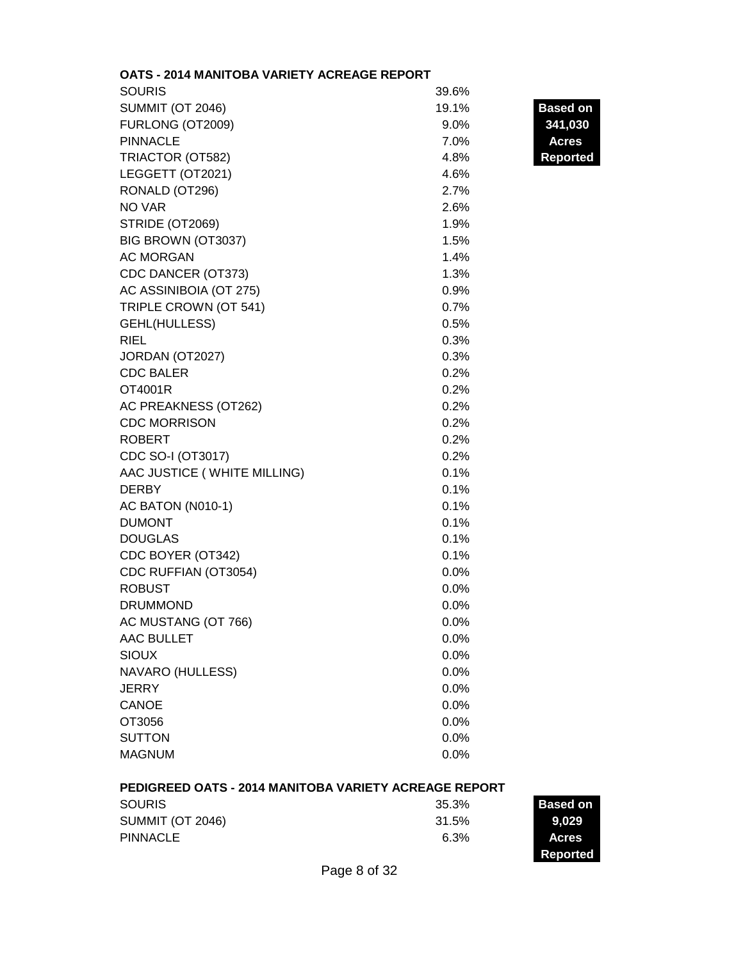| OATS - 2014 MANITOBA VARIETY ACREAGE REPORT |         |                 |
|---------------------------------------------|---------|-----------------|
| <b>SOURIS</b>                               | 39.6%   |                 |
| <b>SUMMIT (OT 2046)</b>                     | 19.1%   | <b>Based on</b> |
| FURLONG (OT2009)                            | $9.0\%$ | 341,030         |
| <b>PINNACLE</b>                             | 7.0%    | <b>Acres</b>    |
| TRIACTOR (OT582)                            | 4.8%    | <b>Reported</b> |
| LEGGETT (OT2021)                            | 4.6%    |                 |
| RONALD (OT296)                              | 2.7%    |                 |
| NO VAR                                      | 2.6%    |                 |
| <b>STRIDE (OT2069)</b>                      | 1.9%    |                 |
| BIG BROWN (OT3037)                          | 1.5%    |                 |
| <b>AC MORGAN</b>                            | 1.4%    |                 |
| CDC DANCER (OT373)                          | 1.3%    |                 |
| AC ASSINIBOIA (OT 275)                      | 0.9%    |                 |
| TRIPLE CROWN (OT 541)                       | 0.7%    |                 |
| GEHL(HULLESS)                               | 0.5%    |                 |
| <b>RIEL</b>                                 | 0.3%    |                 |
| JORDAN (OT2027)                             | 0.3%    |                 |
| <b>CDC BALER</b>                            | 0.2%    |                 |
| OT4001R                                     | 0.2%    |                 |
| AC PREAKNESS (OT262)                        | 0.2%    |                 |
| <b>CDC MORRISON</b>                         | 0.2%    |                 |
| <b>ROBERT</b>                               | 0.2%    |                 |
| CDC SO-I (OT3017)                           | 0.2%    |                 |
| AAC JUSTICE (WHITE MILLING)                 | 0.1%    |                 |
| <b>DERBY</b>                                | 0.1%    |                 |
| AC BATON (N010-1)                           | 0.1%    |                 |
| <b>DUMONT</b>                               | 0.1%    |                 |
| <b>DOUGLAS</b>                              | 0.1%    |                 |
| CDC BOYER (OT342)                           | 0.1%    |                 |
| CDC RUFFIAN (OT3054)                        | 0.0%    |                 |
| <b>ROBUST</b>                               | 0.0%    |                 |
| <b>DRUMMOND</b>                             | 0.0%    |                 |
| AC MUSTANG (OT 766)                         | 0.0%    |                 |
| <b>AAC BULLET</b>                           | 0.0%    |                 |
| <b>SIOUX</b>                                | 0.0%    |                 |
| NAVARO (HULLESS)                            | 0.0%    |                 |
| <b>JERRY</b>                                | 0.0%    |                 |
| <b>CANOE</b>                                | 0.0%    |                 |
| OT3056                                      | 0.0%    |                 |
| <b>SUTTON</b>                               | 0.0%    |                 |
| <b>MAGNUM</b>                               | 0.0%    |                 |
|                                             |         |                 |

# **PEDIGREED OATS - 2014 MANITOBA VARIETY ACREAGE REPORT**

| <b>SOURIS</b>           | 35.3% | Based on     |
|-------------------------|-------|--------------|
| <b>SUMMIT (OT 2046)</b> | 31.5% | 9,029        |
| PINNACLE                | 6.3%  | <b>Acres</b> |
|                         |       | Reported     |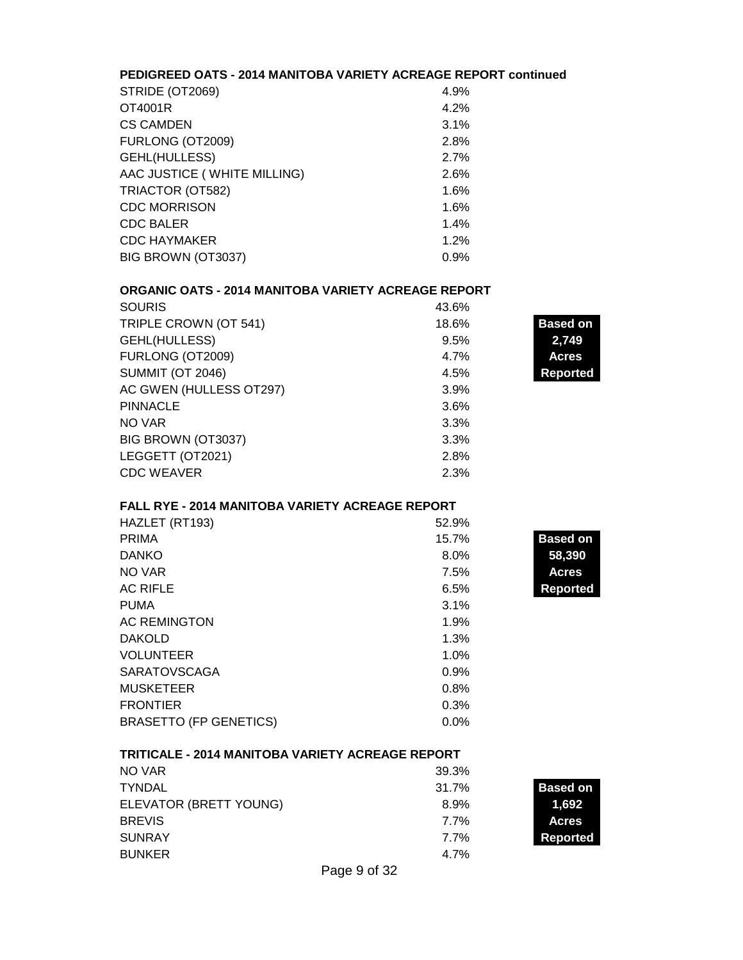#### **PEDIGREED OATS - 2014 MANITOBA VARIETY ACREAGE REPORT continued**

| STRIDE (OT2069)             | 4.9% |
|-----------------------------|------|
| OT4001R                     | 4.2% |
| <b>CS CAMDEN</b>            | 3.1% |
| FURLONG (OT2009)            | 2.8% |
| GEHL(HULLESS)               | 2.7% |
| AAC JUSTICE (WHITE MILLING) | 2.6% |
| TRIACTOR (OT582)            | 1.6% |
| <b>CDC MORRISON</b>         | 1.6% |
| <b>CDC BALER</b>            | 1.4% |
| <b>CDC HAYMAKER</b>         | 1.2% |
| BIG BROWN (OT3037)          | 0.9% |
|                             |      |

# **ORGANIC OATS - 2014 MANITOBA VARIETY ACREAGE REPORT**

| <b>SOURIS</b>           | 43.6% |                 |
|-------------------------|-------|-----------------|
| TRIPLE CROWN (OT 541)   | 18.6% | <b>Based on</b> |
| GEHL(HULLESS)           | 9.5%  | 2,749           |
| FURLONG (OT2009)        | 4.7%  | <b>Acres</b>    |
| <b>SUMMIT (OT 2046)</b> | 4.5%  | <b>Reported</b> |
| AC GWEN (HULLESS OT297) | 3.9%  |                 |
| <b>PINNACLE</b>         | 3.6%  |                 |
| NO VAR                  | 3.3%  |                 |
| BIG BROWN (OT3037)      | 3.3%  |                 |
| LEGGETT (OT2021)        | 2.8%  |                 |
| <b>CDC WEAVER</b>       | 2.3%  |                 |

**Based on** 

**Reported** 

#### **FALL RYE - 2014 MANITOBA VARIETY ACREAGE REPORT**

| HAZLET (RT193)                | 52.9% |                |
|-------------------------------|-------|----------------|
| <b>PRIMA</b>                  | 15.7% | <b>Based o</b> |
| <b>DANKO</b>                  | 8.0%  | 58,390         |
| NO VAR                        | 7.5%  | <b>Acres</b>   |
| <b>AC RIFLE</b>               | 6.5%  | <b>Reporte</b> |
| <b>PUMA</b>                   | 3.1%  |                |
| <b>AC REMINGTON</b>           | 1.9%  |                |
| <b>DAKOLD</b>                 | 1.3%  |                |
| <b>VOLUNTEER</b>              | 1.0%  |                |
| <b>SARATOVSCAGA</b>           | 0.9%  |                |
| <b>MUSKETEER</b>              | 0.8%  |                |
| <b>FRONTIER</b>               | 0.3%  |                |
| <b>BRASETTO (FP GENETICS)</b> | 0.0%  |                |

#### **TRITICALE - 2014 MANITOBA VARIETY ACREAGE REPORT**

| NO VAR                 | 39.3%   |                 |
|------------------------|---------|-----------------|
| <b>TYNDAL</b>          | 31.7%   | <b>Based on</b> |
| ELEVATOR (BRETT YOUNG) | $8.9\%$ | 1.692           |
| <b>BREVIS</b>          | 7.7%    | <b>Acres</b>    |
| <b>SUNRAY</b>          | 7.7%    | Reported        |
| <b>BUNKER</b>          | 4.7%    |                 |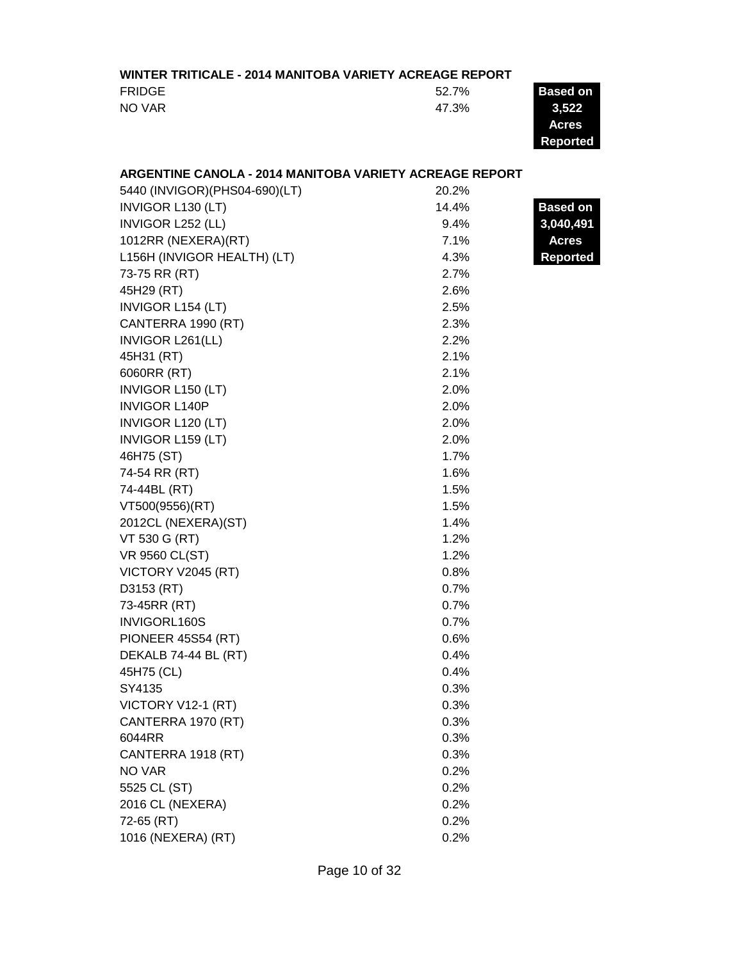#### **WINTER TRITICALE - 2014 MANITOBA VARIETY ACREAGE REPORT**

| <b>FRIDGE</b> | 52.7% | <b>Based on</b> |
|---------------|-------|-----------------|
| NO VAR        | 47.3% | 3.522           |
|               |       | <b>Acres</b>    |

**Acres Reported**

 $\overline{a}$ 

# **ARGENTINE CANOLA - 2014 MANITOBA VARIETY ACREAGE REPORT**

| 5440 (INVIGOR) (PHS04-690) (LT) | 20.2% |                 |
|---------------------------------|-------|-----------------|
| INVIGOR L130 (LT)               | 14.4% | <b>Based on</b> |
| INVIGOR L252 (LL)               | 9.4%  | 3,040,491       |
| 1012RR (NEXERA)(RT)             | 7.1%  | <b>Acres</b>    |
| L156H (INVIGOR HEALTH) (LT)     | 4.3%  | <b>Reported</b> |
| 73-75 RR (RT)                   | 2.7%  |                 |
| 45H29 (RT)                      | 2.6%  |                 |
| <b>INVIGOR L154 (LT)</b>        | 2.5%  |                 |
| CANTERRA 1990 (RT)              | 2.3%  |                 |
| INVIGOR L261(LL)                | 2.2%  |                 |
| 45H31 (RT)                      | 2.1%  |                 |
| 6060RR (RT)                     | 2.1%  |                 |
| INVIGOR L150 (LT)               | 2.0%  |                 |
| <b>INVIGOR L140P</b>            | 2.0%  |                 |
| INVIGOR L120 (LT)               | 2.0%  |                 |
| INVIGOR L159 (LT)               | 2.0%  |                 |
| 46H75 (ST)                      | 1.7%  |                 |
| 74-54 RR (RT)                   | 1.6%  |                 |
| 74-44BL (RT)                    | 1.5%  |                 |
| VT500(9556)(RT)                 | 1.5%  |                 |
| 2012CL (NEXERA)(ST)             | 1.4%  |                 |
| VT 530 G (RT)                   | 1.2%  |                 |
| <b>VR 9560 CL(ST)</b>           | 1.2%  |                 |
| VICTORY V2045 (RT)              | 0.8%  |                 |
| D3153 (RT)                      | 0.7%  |                 |
| 73-45RR (RT)                    | 0.7%  |                 |
| INVIGORL160S                    | 0.7%  |                 |
| PIONEER 45S54 (RT)              | 0.6%  |                 |
| DEKALB 74-44 BL (RT)            | 0.4%  |                 |
| 45H75 (CL)                      | 0.4%  |                 |
| SY4135                          | 0.3%  |                 |
| VICTORY V12-1 (RT)              | 0.3%  |                 |
| CANTERRA 1970 (RT)              | 0.3%  |                 |
| 6044RR                          | 0.3%  |                 |
| CANTERRA 1918 (RT)              | 0.3%  |                 |
| <b>NO VAR</b>                   | 0.2%  |                 |
| 5525 CL (ST)                    | 0.2%  |                 |
| 2016 CL (NEXERA)                | 0.2%  |                 |
| 72-65 (RT)                      | 0.2%  |                 |
| 1016 (NEXERA) (RT)              | 0.2%  |                 |
|                                 |       |                 |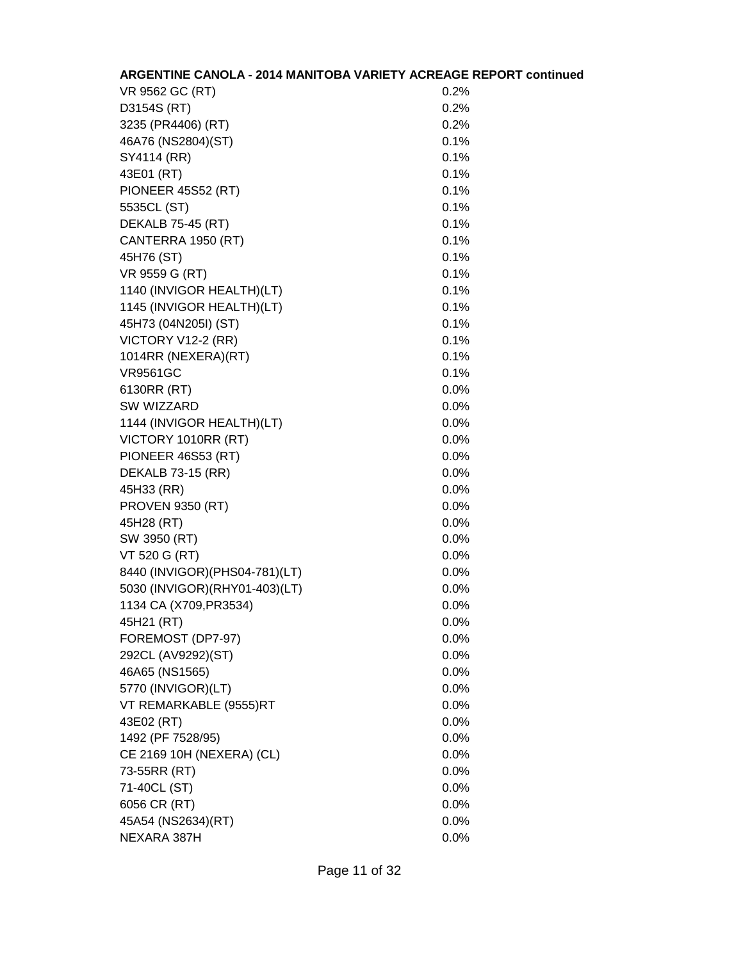| <b>ARGENTINE CANOLA - 2014 MANITOBA VARIETY ACREAGE REPORT continued</b> |         |
|--------------------------------------------------------------------------|---------|
| VR 9562 GC (RT)                                                          | 0.2%    |
| D3154S (RT)                                                              | 0.2%    |
| 3235 (PR4406) (RT)                                                       | 0.2%    |
| 46A76 (NS2804)(ST)                                                       | 0.1%    |
| SY4114 (RR)                                                              | 0.1%    |
| 43E01 (RT)                                                               | 0.1%    |
| PIONEER 45S52 (RT)                                                       | 0.1%    |
| 5535CL (ST)                                                              | 0.1%    |
| <b>DEKALB 75-45 (RT)</b>                                                 | 0.1%    |
| CANTERRA 1950 (RT)                                                       | 0.1%    |
| 45H76 (ST)                                                               | 0.1%    |
| VR 9559 G (RT)                                                           | 0.1%    |
| 1140 (INVIGOR HEALTH)(LT)                                                | 0.1%    |
| 1145 (INVIGOR HEALTH)(LT)                                                | 0.1%    |
| 45H73 (04N205I) (ST)                                                     | 0.1%    |
| VICTORY V12-2 (RR)                                                       | 0.1%    |
| 1014RR (NEXERA)(RT)                                                      | 0.1%    |
| <b>VR9561GC</b>                                                          | 0.1%    |
| 6130RR (RT)                                                              | 0.0%    |
| SW WIZZARD                                                               | $0.0\%$ |
| 1144 (INVIGOR HEALTH)(LT)                                                | $0.0\%$ |
| VICTORY 1010RR (RT)                                                      | 0.0%    |
| PIONEER 46S53 (RT)                                                       | 0.0%    |
| <b>DEKALB 73-15 (RR)</b>                                                 | $0.0\%$ |
| 45H33 (RR)                                                               | 0.0%    |
| <b>PROVEN 9350 (RT)</b>                                                  | 0.0%    |
| 45H28 (RT)                                                               | $0.0\%$ |
| SW 3950 (RT)                                                             | $0.0\%$ |
| VT 520 G (RT)                                                            | 0.0%    |
| 8440 (INVIGOR) (PHS04-781) (LT)                                          | 0.0%    |
| 5030 (INVIGOR) (RHY01-403) (LT)                                          | 0.0%    |
| 1134 CA (X709, PR3534)                                                   | 0.0%    |
| 45H21 (RT)                                                               | $0.0\%$ |
| FOREMOST (DP7-97)                                                        | 0.0%    |
| 292CL (AV9292)(ST)                                                       | 0.0%    |
| 46A65 (NS1565)                                                           | 0.0%    |
| 5770 (INVIGOR)(LT)                                                       | 0.0%    |
| VT REMARKABLE (9555)RT                                                   | 0.0%    |
| 43E02 (RT)                                                               | 0.0%    |
| 1492 (PF 7528/95)                                                        | 0.0%    |
| CE 2169 10H (NEXERA) (CL)                                                | 0.0%    |
| 73-55RR (RT)                                                             | 0.0%    |
| 71-40CL (ST)                                                             | 0.0%    |
| 6056 CR (RT)                                                             | 0.0%    |
| 45A54 (NS2634)(RT)                                                       | 0.0%    |
| NEXARA 387H                                                              | 0.0%    |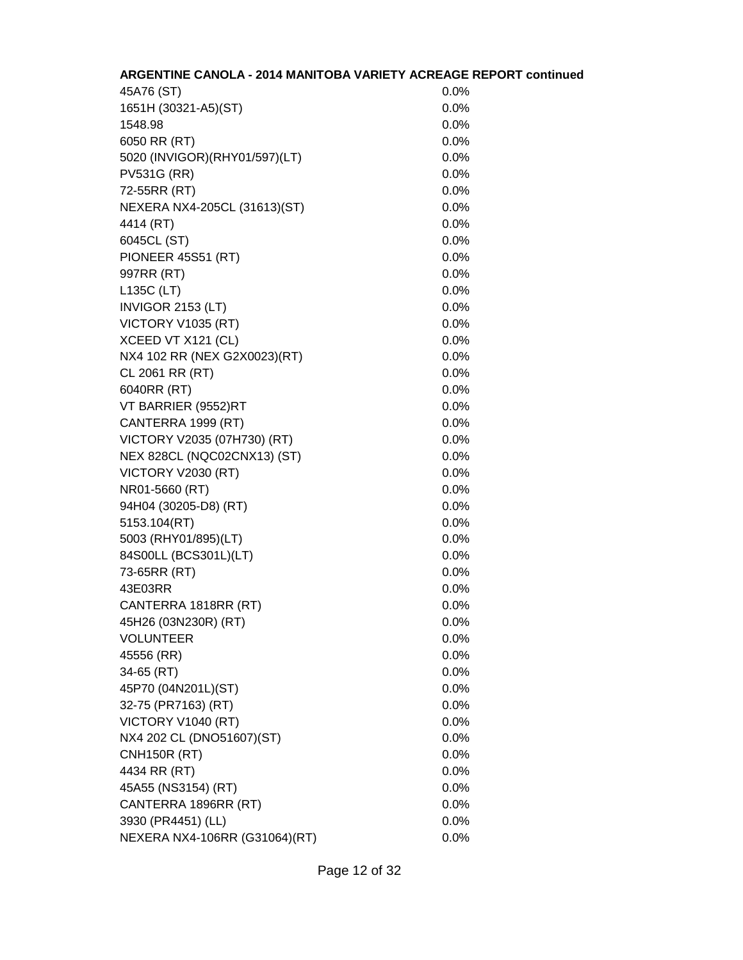| ARGENTINE CANOLA - 2014 MANITOBA VARIETY ACREAGE REPORT continued |         |
|-------------------------------------------------------------------|---------|
| 45A76 (ST)                                                        | 0.0%    |
| 1651H (30321-A5)(ST)                                              | $0.0\%$ |
| 1548.98                                                           | 0.0%    |
| 6050 RR (RT)                                                      | 0.0%    |
| 5020 (INVIGOR) (RHY01/597) (LT)                                   | 0.0%    |
| <b>PV531G (RR)</b>                                                | 0.0%    |
| 72-55RR (RT)                                                      | 0.0%    |
| NEXERA NX4-205CL (31613)(ST)                                      | 0.0%    |
| 4414 (RT)                                                         | 0.0%    |
| 6045CL (ST)                                                       | 0.0%    |
| PIONEER 45S51 (RT)                                                | 0.0%    |
| 997RR (RT)                                                        | 0.0%    |
| L135C (LT)                                                        | 0.0%    |
| INVIGOR 2153 (LT)                                                 | 0.0%    |
| VICTORY V1035 (RT)                                                | 0.0%    |
| XCEED VT X121 (CL)                                                | 0.0%    |
| NX4 102 RR (NEX G2X0023)(RT)                                      | 0.0%    |
| CL 2061 RR (RT)                                                   | 0.0%    |
| 6040RR (RT)                                                       | 0.0%    |
| VT BARRIER (9552)RT                                               | $0.0\%$ |
| CANTERRA 1999 (RT)                                                | 0.0%    |
| VICTORY V2035 (07H730) (RT)                                       | 0.0%    |
| NEX 828CL (NQC02CNX13) (ST)                                       | 0.0%    |
| VICTORY V2030 (RT)                                                | 0.0%    |
| NR01-5660 (RT)                                                    | 0.0%    |
| 94H04 (30205-D8) (RT)                                             | 0.0%    |
| 5153.104(RT)                                                      | 0.0%    |
| 5003 (RHY01/895)(LT)                                              | 0.0%    |
| 84S00LL (BCS301L)(LT)                                             | 0.0%    |
| 73-65RR (RT)                                                      | 0.0%    |
| 43E03RR                                                           | 0.0%    |
| CANTERRA 1818RR (RT)                                              | 0.0%    |
| 45H26 (03N230R) (RT)                                              | 0.0%    |
| <b>VOLUNTEER</b>                                                  | 0.0%    |
| 45556 (RR)                                                        | 0.0%    |
| 34-65 (RT)                                                        | 0.0%    |
| 45P70 (04N201L)(ST)                                               | 0.0%    |
| 32-75 (PR7163) (RT)                                               | 0.0%    |
| VICTORY V1040 (RT)                                                | 0.0%    |
| NX4 202 CL (DNO51607)(ST)                                         | 0.0%    |
| <b>CNH150R (RT)</b>                                               | 0.0%    |
| 4434 RR (RT)                                                      | 0.0%    |
| 45A55 (NS3154) (RT)                                               | 0.0%    |
| CANTERRA 1896RR (RT)                                              | 0.0%    |
| 3930 (PR4451) (LL)                                                | 0.0%    |
| NEXERA NX4-106RR (G31064)(RT)                                     | 0.0%    |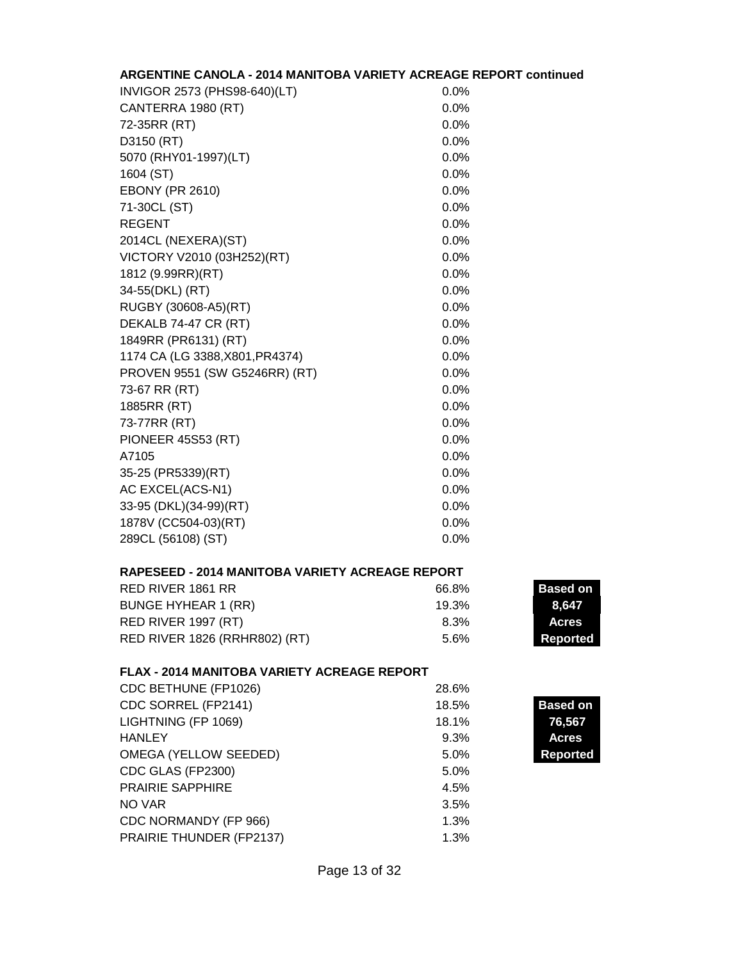| <b>ARGENTINE CANOLA - 2014 MANITOBA VARIETY ACREAGE REPORT continued</b> |       |                 |
|--------------------------------------------------------------------------|-------|-----------------|
| INVIGOR 2573 (PHS98-640)(LT)                                             | 0.0%  |                 |
| CANTERRA 1980 (RT)                                                       | 0.0%  |                 |
| 72-35RR (RT)                                                             | 0.0%  |                 |
| D3150 (RT)                                                               | 0.0%  |                 |
| 5070 (RHY01-1997)(LT)                                                    | 0.0%  |                 |
| 1604 (ST)                                                                | 0.0%  |                 |
| <b>EBONY (PR 2610)</b>                                                   | 0.0%  |                 |
| 71-30CL (ST)                                                             | 0.0%  |                 |
| <b>REGENT</b>                                                            | 0.0%  |                 |
| 2014CL (NEXERA)(ST)                                                      | 0.0%  |                 |
| VICTORY V2010 (03H252)(RT)                                               | 0.0%  |                 |
| 1812 (9.99RR)(RT)                                                        | 0.0%  |                 |
| 34-55(DKL) (RT)                                                          | 0.0%  |                 |
| RUGBY (30608-A5)(RT)                                                     | 0.0%  |                 |
| DEKALB 74-47 CR (RT)                                                     | 0.0%  |                 |
| 1849RR (PR6131) (RT)                                                     | 0.0%  |                 |
| 1174 CA (LG 3388, X801, PR4374)                                          | 0.0%  |                 |
| PROVEN 9551 (SW G5246RR) (RT)                                            | 0.0%  |                 |
| 73-67 RR (RT)                                                            | 0.0%  |                 |
| 1885RR (RT)                                                              | 0.0%  |                 |
| 73-77RR (RT)                                                             | 0.0%  |                 |
| <b>PIONEER 45S53 (RT)</b>                                                | 0.0%  |                 |
| A7105                                                                    | 0.0%  |                 |
| 35-25 (PR5339)(RT)                                                       | 0.0%  |                 |
| AC EXCEL(ACS-N1)                                                         | 0.0%  |                 |
| 33-95 (DKL)(34-99)(RT)                                                   | 0.0%  |                 |
| 1878V (CC504-03)(RT)                                                     | 0.0%  |                 |
| 289CL (56108) (ST)                                                       | 0.0%  |                 |
| <b>RAPESEED - 2014 MANITOBA VARIETY ACREAGE REPORT</b>                   |       |                 |
| <b>RED RIVER 1861 RR</b>                                                 | 66.8% | <b>Based on</b> |
| <b>BUNGE HYHEAR 1 (RR)</b>                                               | 19.3% | 8,647           |
| RED RIVER 1997 (RT)                                                      | 8.3%  | <b>Acres</b>    |
| RED RIVER 1826 (RRHR802) (RT)                                            | 5.6%  | <b>Reported</b> |
| <b>FLAX - 2014 MANITOBA VARIETY ACREAGE REPORT</b>                       |       |                 |
| CDC BETHUNE (FP1026)                                                     | 28.6% |                 |
| CDC SORREL (FP2141)                                                      | 18.5% | <b>Based on</b> |
| LIGHTNING (FP 1069)                                                      | 18.1% | 76,567          |
| <b>HANLEY</b>                                                            | 9.3%  | <b>Acres</b>    |
| OMEGA (YELLOW SEEDED)                                                    | 5.0%  | <b>Reported</b> |
| CDC GLAS (FP2300)                                                        | 5.0%  |                 |
| <b>PRAIRIE SAPPHIRE</b>                                                  | 4.5%  |                 |
| NO VAR                                                                   | 3.5%  |                 |
| CDC NORMANDY (FP 966)                                                    | 1.3%  |                 |
| PRAIRIE THUNDER (FP2137)                                                 | 1.3%  |                 |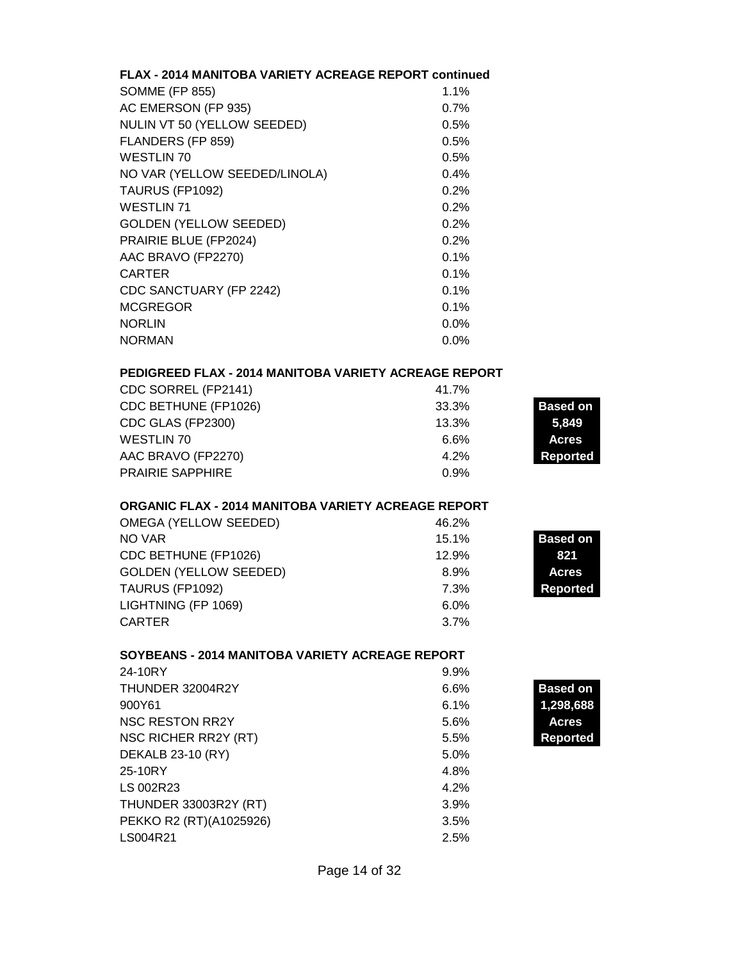| <b>FLAX - 2014 MANITOBA VARIETY ACREAGE REPORT continued</b> |       |                 |
|--------------------------------------------------------------|-------|-----------------|
| <b>SOMME (FP 855)</b>                                        | 1.1%  |                 |
| AC EMERSON (FP 935)                                          | 0.7%  |                 |
| NULIN VT 50 (YELLOW SEEDED)                                  | 0.5%  |                 |
| FLANDERS (FP 859)                                            | 0.5%  |                 |
| WESTLIN 70                                                   | 0.5%  |                 |
| NO VAR (YELLOW SEEDED/LINOLA)                                | 0.4%  |                 |
| TAURUS (FP1092)                                              | 0.2%  |                 |
| <b>WESTLIN 71</b>                                            | 0.2%  |                 |
| <b>GOLDEN (YELLOW SEEDED)</b>                                | 0.2%  |                 |
| PRAIRIE BLUE (FP2024)                                        | 0.2%  |                 |
| AAC BRAVO (FP2270)                                           | 0.1%  |                 |
| <b>CARTER</b>                                                | 0.1%  |                 |
| CDC SANCTUARY (FP 2242)                                      | 0.1%  |                 |
| <b>MCGREGOR</b>                                              | 0.1%  |                 |
| <b>NORLIN</b>                                                | 0.0%  |                 |
|                                                              |       |                 |
| <b>NORMAN</b>                                                | 0.0%  |                 |
| <b>PEDIGREED FLAX - 2014 MANITOBA VARIETY ACREAGE REPORT</b> |       |                 |
| CDC SORREL (FP2141)                                          | 41.7% |                 |
| CDC BETHUNE (FP1026)                                         | 33.3% | <b>Based on</b> |
| CDC GLAS (FP2300)                                            | 13.3% | 5,849           |
| <b>WESTLIN 70</b>                                            | 6.6%  | <b>Acres</b>    |
| AAC BRAVO (FP2270)                                           | 4.2%  | <b>Reported</b> |
| <b>PRAIRIE SAPPHIRE</b>                                      | 0.9%  |                 |
| ORGANIC FLAX - 2014 MANITOBA VARIETY ACREAGE REPORT          |       |                 |
| OMEGA (YELLOW SEEDED)                                        | 46.2% |                 |
| NO VAR                                                       | 15.1% | <b>Based on</b> |
| CDC BETHUNE (FP1026)                                         | 12.9% | 821             |
| <b>GOLDEN (YELLOW SEEDED)</b>                                | 8.9%  | <b>Acres</b>    |
| TAURUS (FP1092)                                              | 7.3%  | <b>Reported</b> |
| LIGHTNING (FP 1069)                                          | 6.0%  |                 |
| <b>CARTER</b>                                                | 3.7%  |                 |
|                                                              |       |                 |
| SOYBEANS - 2014 MANITOBA VARIETY ACREAGE REPORT              |       |                 |
| 24-10RY                                                      | 9.9%  |                 |
| THUNDER 32004R2Y                                             | 6.6%  | <b>Based on</b> |
| 900Y61                                                       | 6.1%  | 1,298,688       |
| <b>NSC RESTON RR2Y</b>                                       | 5.6%  | <b>Acres</b>    |
| NSC RICHER RR2Y (RT)                                         | 5.5%  | Reported        |
| DEKALB 23-10 (RY)                                            | 5.0%  |                 |
| 25-10RY                                                      | 4.8%  |                 |
| LS 002R23                                                    | 4.2%  |                 |
| <b>THUNDER 33003R2Y (RT)</b>                                 | 3.9%  |                 |
| PEKKO R2 (RT)(A1025926)                                      | 3.5%  |                 |
| LS004R21                                                     | 2.5%  |                 |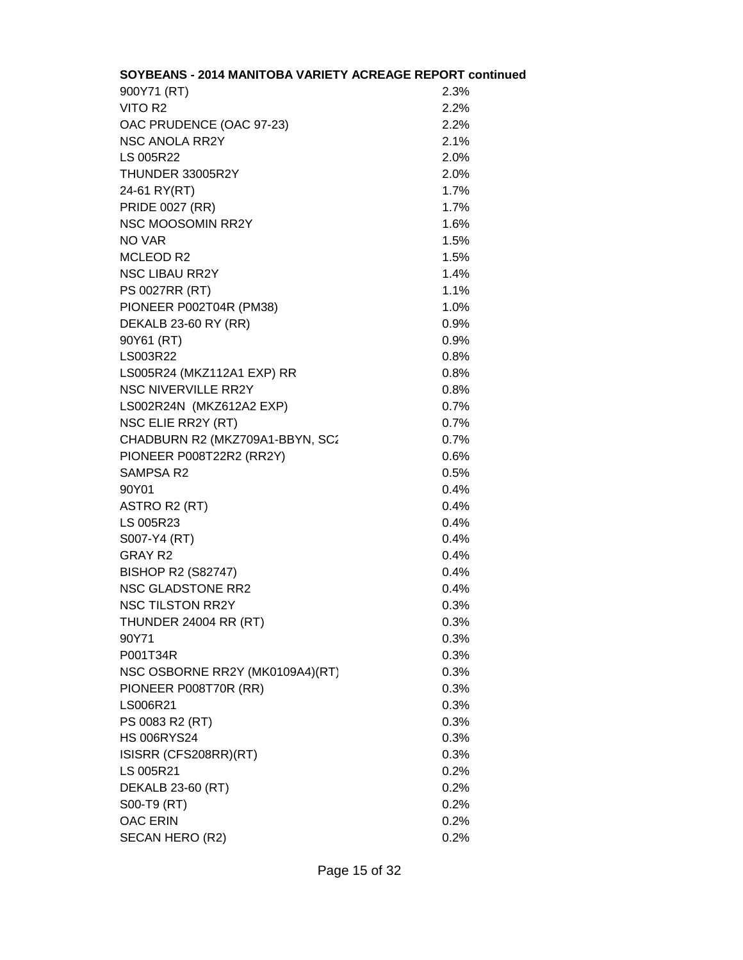| SOYBEANS - 2014 MANITOBA VARIETY ACREAGE REPORT continue |      |
|----------------------------------------------------------|------|
| 900Y71 (RT)                                              | 2.3% |
| VITO R2                                                  | 2.2% |
| OAC PRUDENCE (OAC 97-23)                                 | 2.2% |
| <b>NSC ANOLA RR2Y</b>                                    | 2.1% |
| LS 005R22                                                | 2.0% |
| THUNDER 33005R2Y                                         | 2.0% |
| 24-61 RY(RT)                                             | 1.7% |
| <b>PRIDE 0027 (RR)</b>                                   | 1.7% |
| <b>NSC MOOSOMIN RR2Y</b>                                 | 1.6% |
| NO VAR                                                   | 1.5% |
| <b>MCLEOD R2</b>                                         | 1.5% |
| <b>NSC LIBAU RR2Y</b>                                    | 1.4% |
| <b>PS 0027RR (RT)</b>                                    | 1.1% |
| PIONEER P002T04R (PM38)                                  | 1.0% |
| <b>DEKALB 23-60 RY (RR)</b>                              | 0.9% |
| 90Y61 (RT)                                               | 0.9% |
| LS003R22                                                 | 0.8% |
| LS005R24 (MKZ112A1 EXP) RR                               | 0.8% |
| <b>NSC NIVERVILLE RR2Y</b>                               | 0.8% |
| LS002R24N (MKZ612A2 EXP)                                 | 0.7% |
| NSC ELIE RR2Y (RT)                                       | 0.7% |
| CHADBURN R2 (MKZ709A1-BBYN, SC2                          | 0.7% |
| PIONEER P008T22R2 (RR2Y)                                 | 0.6% |
| SAMPSA R2                                                | 0.5% |
| 90Y01                                                    | 0.4% |
| ASTRO R2 (RT)                                            | 0.4% |
| LS 005R23                                                | 0.4% |
| S007-Y4 (RT)                                             | 0.4% |
| GRAY R2                                                  | 0.4% |
| <b>BISHOP R2 (S82747)</b>                                | 0.4% |
| <b>NSC GLADSTONE RR2</b>                                 | 0.4% |
| <b>NSC TILSTON RR2Y</b>                                  | 0.3% |
| THUNDER 24004 RR (RT)                                    | 0.3% |
| 90Y71                                                    | 0.3% |
| P001T34R                                                 | 0.3% |
| NSC OSBORNE RR2Y (MK0109A4)(RT)                          | 0.3% |
| PIONEER P008T70R (RR)                                    | 0.3% |
| LS006R21                                                 | 0.3% |
| PS 0083 R2 (RT)                                          | 0.3% |
| <b>HS 006RYS24</b>                                       | 0.3% |
| ISISRR (CFS208RR)(RT)                                    | 0.3% |
| LS 005R21                                                | 0.2% |
| DEKALB 23-60 (RT)                                        | 0.2% |
| S00-T9 (RT)                                              | 0.2% |
| <b>OAC ERIN</b>                                          | 0.2% |
| SECAN HERO (R2)                                          | 0.2% |

#### **SOYBEANS - 2014 MANITOBA VARIETY ACREAGE REPORT continued**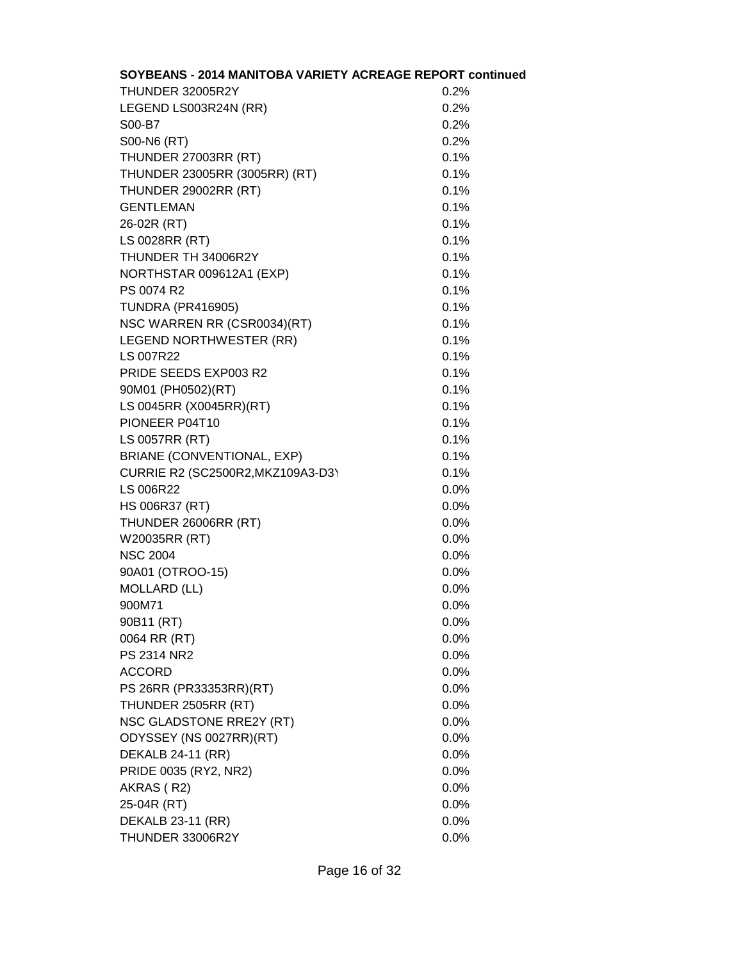| SOYBEANS - 2014 MANITOBA VARIETY ACREAGE REPORT continue |         |
|----------------------------------------------------------|---------|
| THUNDER 32005R2Y                                         | 0.2%    |
| LEGEND LS003R24N (RR)                                    | 0.2%    |
| S00-B7                                                   | 0.2%    |
| S00-N6 (RT)                                              | 0.2%    |
| THUNDER 27003RR (RT)                                     | 0.1%    |
| THUNDER 23005RR (3005RR) (RT)                            | 0.1%    |
| THUNDER 29002RR (RT)                                     | 0.1%    |
| <b>GENTLEMAN</b>                                         | 0.1%    |
| 26-02R (RT)                                              | 0.1%    |
| LS 0028RR (RT)                                           | 0.1%    |
| THUNDER TH 34006R2Y                                      | 0.1%    |
| NORTHSTAR 009612A1 (EXP)                                 | 0.1%    |
| PS 0074 R2                                               | 0.1%    |
| <b>TUNDRA (PR416905)</b>                                 | 0.1%    |
| NSC WARREN RR (CSR0034)(RT)                              | 0.1%    |
| LEGEND NORTHWESTER (RR)                                  | 0.1%    |
| <b>LS 007R22</b>                                         | 0.1%    |
| PRIDE SEEDS EXP003 R2                                    | 0.1%    |
| 90M01 (PH0502)(RT)                                       | 0.1%    |
| LS 0045RR (X0045RR)(RT)                                  | 0.1%    |
| PIONEER P04T10                                           | 0.1%    |
| LS 0057RR (RT)                                           | 0.1%    |
| BRIANE (CONVENTIONAL, EXP)                               | 0.1%    |
| CURRIE R2 (SC2500R2, MKZ109A3-D3)                        | 0.1%    |
| <b>LS 006R22</b>                                         | 0.0%    |
| HS 006R37 (RT)                                           | 0.0%    |
| THUNDER 26006RR (RT)                                     | 0.0%    |
| W20035RR (RT)                                            | 0.0%    |
| <b>NSC 2004</b>                                          | 0.0%    |
| 90A01 (OTROO-15)                                         | 0.0%    |
| <b>MOLLARD (LL)</b>                                      | 0.0%    |
| 900M71                                                   | 0.0%    |
| 90B11 (RT)                                               | 0.0%    |
| 0064 RR (RT)                                             | 0.0%    |
| PS 2314 NR2                                              | 0.0%    |
| <b>ACCORD</b>                                            | $0.0\%$ |
| PS 26RR (PR33353RR)(RT)                                  | 0.0%    |
| THUNDER 2505RR (RT)                                      | 0.0%    |
| NSC GLADSTONE RRE2Y (RT)                                 | 0.0%    |
| ODYSSEY (NS 0027RR)(RT)                                  | 0.0%    |
| DEKALB 24-11 (RR)                                        | 0.0%    |
| PRIDE 0035 (RY2, NR2)                                    | $0.0\%$ |
| AKRAS (R2)                                               | $0.0\%$ |
| 25-04R (RT)                                              | 0.0%    |
| DEKALB 23-11 (RR)                                        | 0.0%    |
| THUNDER 33006R2Y                                         | 0.0%    |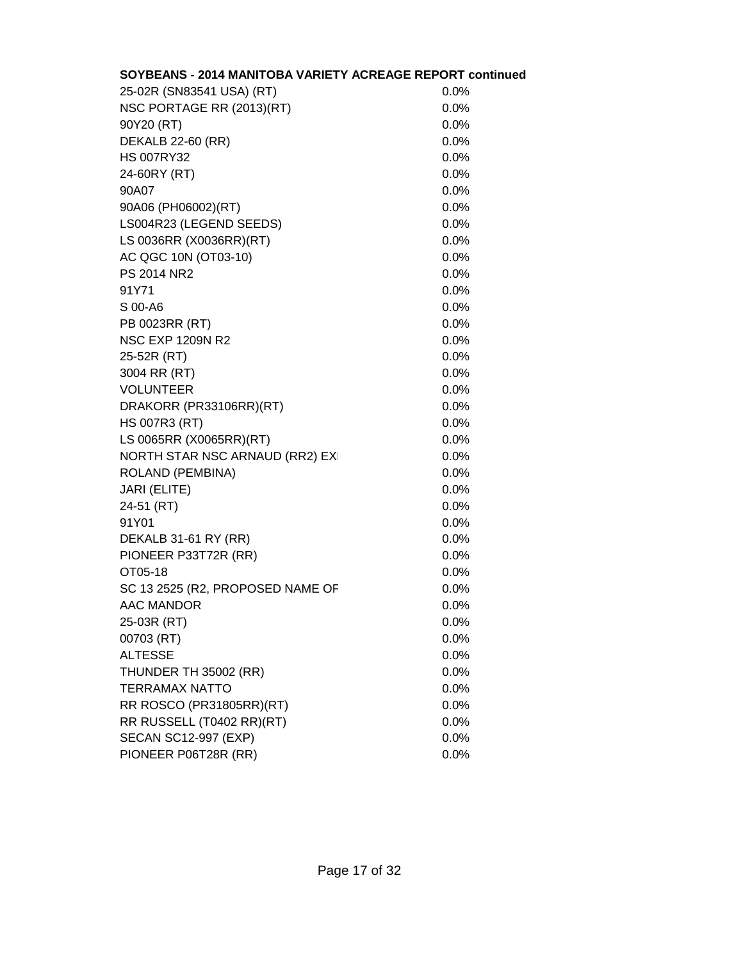| SOYBEANS - 2014 MANITOBA VARIETY ACREAGE REPORT continued |         |
|-----------------------------------------------------------|---------|
| 25-02R (SN83541 USA) (RT)                                 | 0.0%    |
| NSC PORTAGE RR (2013)(RT)                                 | 0.0%    |
| 90Y20 (RT)                                                | 0.0%    |
| DEKALB 22-60 (RR)                                         | 0.0%    |
| <b>HS 007RY32</b>                                         | 0.0%    |
| 24-60RY (RT)                                              | 0.0%    |
| 90A07                                                     | 0.0%    |
| 90A06 (PH06002)(RT)                                       | 0.0%    |
| LS004R23 (LEGEND SEEDS)                                   | 0.0%    |
| LS 0036RR (X0036RR)(RT)                                   | 0.0%    |
| AC QGC 10N (OT03-10)                                      | 0.0%    |
| PS 2014 NR2                                               | 0.0%    |
| 91Y71                                                     | 0.0%    |
| S 00-A6                                                   | 0.0%    |
| PB 0023RR (RT)                                            | 0.0%    |
| <b>NSC EXP 1209N R2</b>                                   | 0.0%    |
| 25-52R (RT)                                               | 0.0%    |
| 3004 RR (RT)                                              | 0.0%    |
| <b>VOLUNTEER</b>                                          | 0.0%    |
| DRAKORR (PR33106RR)(RT)                                   | 0.0%    |
| <b>HS 007R3 (RT)</b>                                      | 0.0%    |
| LS 0065RR (X0065RR)(RT)                                   | 0.0%    |
| NORTH STAR NSC ARNAUD (RR2) EX                            | 0.0%    |
| ROLAND (PEMBINA)                                          | 0.0%    |
| JARI (ELITE)                                              | 0.0%    |
| 24-51 (RT)                                                | 0.0%    |
| 91Y01                                                     | 0.0%    |
| DEKALB 31-61 RY (RR)                                      | 0.0%    |
| PIONEER P33T72R (RR)                                      | 0.0%    |
| OT05-18                                                   | 0.0%    |
| SC 13 2525 (R2, PROPOSED NAME OF                          | 0.0%    |
| AAC MANDOR                                                | $0.0\%$ |
| 25-03R (RT)                                               | 0.0%    |
| 00703 (RT)                                                | 0.0%    |
| <b>ALTESSE</b>                                            | 0.0%    |
| THUNDER TH 35002 (RR)                                     | 0.0%    |
| <b>TERRAMAX NATTO</b>                                     | 0.0%    |
| RR ROSCO (PR31805RR)(RT)                                  | 0.0%    |
| RR RUSSELL (T0402 RR)(RT)                                 | 0.0%    |
| <b>SECAN SC12-997 (EXP)</b>                               | 0.0%    |
| PIONEER P06T28R (RR)                                      | 0.0%    |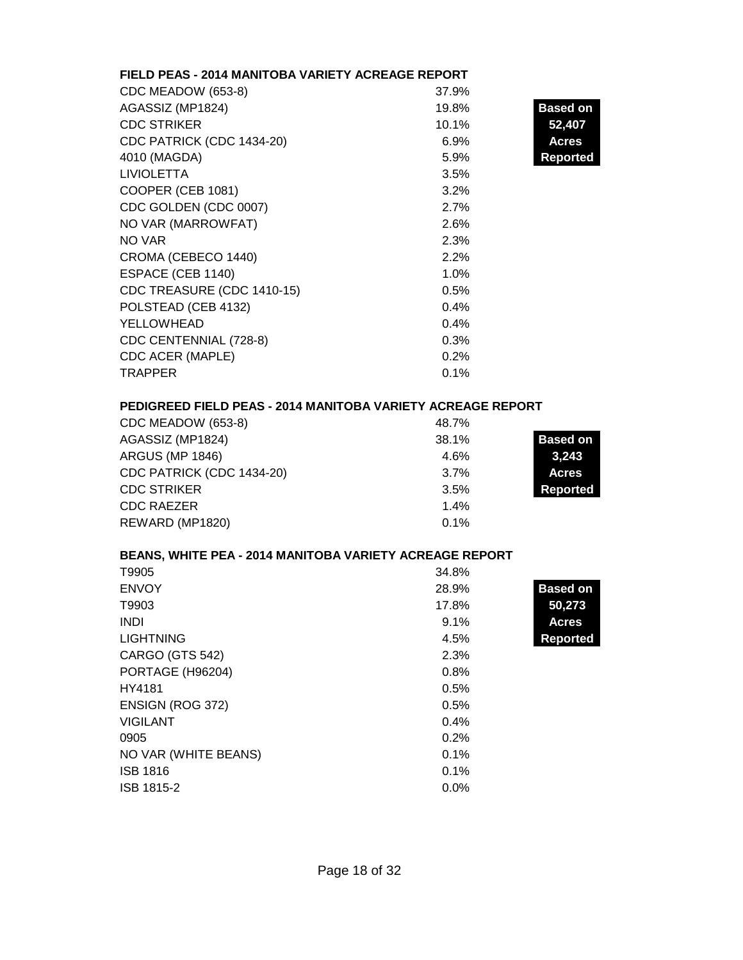# **FIELD PEAS - 2014 MANITOBA VARIETY ACREAGE REPORT**

| CDC MEADOW (653-8)         | 37.9% |                 |
|----------------------------|-------|-----------------|
| AGASSIZ (MP1824)           | 19.8% | <b>Based on</b> |
| <b>CDC STRIKER</b>         | 10.1% | 52,407          |
| CDC PATRICK (CDC 1434-20)  | 6.9%  | <b>Acres</b>    |
| 4010 (MAGDA)               | 5.9%  | <b>Reported</b> |
| <b>LIVIOLETTA</b>          | 3.5%  |                 |
| COOPER (CEB 1081)          | 3.2%  |                 |
| CDC GOLDEN (CDC 0007)      | 2.7%  |                 |
| NO VAR (MARROWFAT)         | 2.6%  |                 |
| NO VAR                     | 2.3%  |                 |
| CROMA (CEBECO 1440)        | 2.2%  |                 |
| ESPACE (CEB 1140)          | 1.0%  |                 |
| CDC TREASURE (CDC 1410-15) | 0.5%  |                 |
| POLSTEAD (CEB 4132)        | 0.4%  |                 |
| YELLOWHEAD                 | 0.4%  |                 |
| CDC CENTENNIAL (728-8)     | 0.3%  |                 |
| CDC ACER (MAPLE)           | 0.2%  |                 |
| <b>TRAPPER</b>             | 0.1%  |                 |

### **PEDIGREED FIELD PEAS - 2014 MANITOBA VARIETY ACREAGE REPORT**

| CDC MEADOW (653-8)        | 48.7% |                 |
|---------------------------|-------|-----------------|
| AGASSIZ (MP1824)          | 38.1% | <b>Based on</b> |
| <b>ARGUS (MP 1846)</b>    | 4.6%  | 3,243           |
| CDC PATRICK (CDC 1434-20) | 3.7%  | <b>Acres</b>    |
| <b>CDC STRIKER</b>        | 3.5%  | <b>Reported</b> |
| <b>CDC RAEZER</b>         | 1.4%  |                 |
| REWARD (MP1820)           | 0.1%  |                 |

# **BEANS, WHITE PEA - 2014 MANITOBA VARIETY ACREAGE REPORT**

| T9905                | 34.8% |                 |
|----------------------|-------|-----------------|
| <b>ENVOY</b>         | 28.9% | <b>Based on</b> |
| T9903                | 17.8% | 50,273          |
| <b>INDI</b>          | 9.1%  | <b>Acres</b>    |
| <b>LIGHTNING</b>     | 4.5%  | Reported        |
| CARGO (GTS 542)      | 2.3%  |                 |
| PORTAGE (H96204)     | 0.8%  |                 |
| HY4181               | 0.5%  |                 |
| ENSIGN (ROG 372)     | 0.5%  |                 |
| <b>VIGILANT</b>      | 0.4%  |                 |
| 0905                 | 0.2%  |                 |
| NO VAR (WHITE BEANS) | 0.1%  |                 |
| <b>ISB 1816</b>      | 0.1%  |                 |
| ISB 1815-2           | 0.0%  |                 |
|                      |       |                 |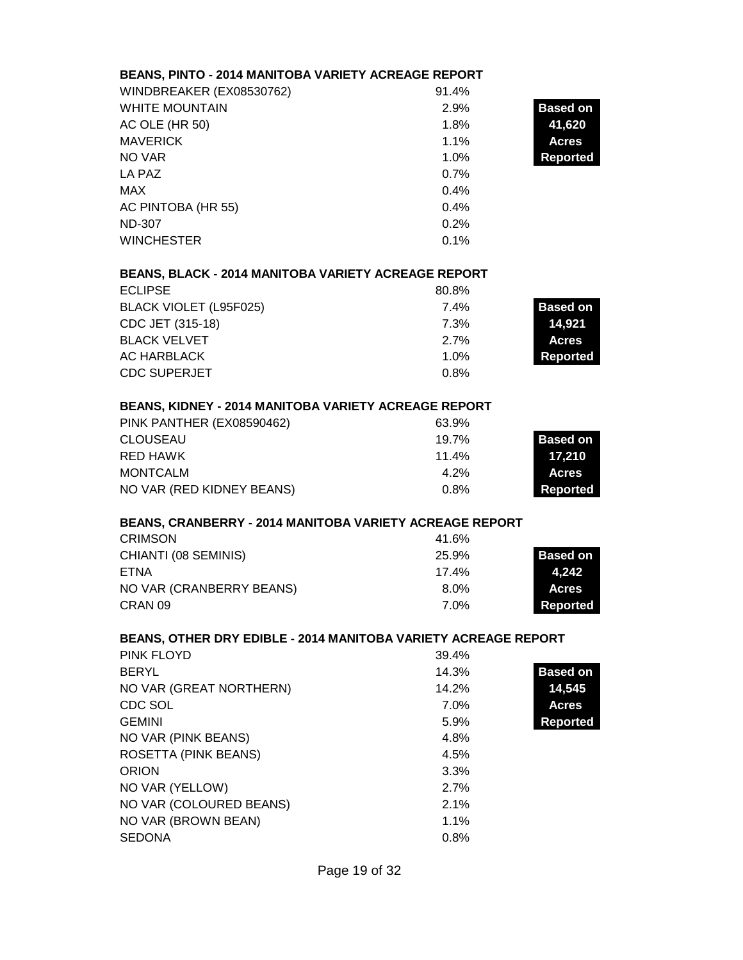# **BEANS, PINTO - 2014 MANITOBA VARIETY ACREAGE REPORT**

| WINDBREAKER (EX08530762) | 91.4% |                 |
|--------------------------|-------|-----------------|
| <b>WHITE MOUNTAIN</b>    | 2.9%  | <b>Based on</b> |
| AC OLE (HR 50)           | 1.8%  | 41,620          |
| <b>MAVERICK</b>          | 1.1%  | <b>Acres</b>    |
| NO VAR                   | 1.0%  | <b>Reported</b> |
| LA PAZ                   | 0.7%  |                 |
| MAX                      | 0.4%  |                 |
| AC PINTOBA (HR 55)       | 0.4%  |                 |
| <b>ND-307</b>            | 0.2%  |                 |
| <b>WINCHESTER</b>        | 0.1%  |                 |

# **BEANS, BLACK - 2014 MANITOBA VARIETY ACREAGE REPORT**

| <b>ECLIPSE</b>         | 80.8%   |                 |
|------------------------|---------|-----------------|
| BLACK VIOLET (L95F025) | 7.4%    | <b>Based on</b> |
| CDC JET (315-18)       | 7.3%    | 14.921          |
| <b>BLACK VELVET</b>    | $2.7\%$ | <b>Acres</b>    |
| AC HARBLACK            | 1.0%    | Reported        |
| <b>CDC SUPERJET</b>    | 0.8%    |                 |

### **BEANS, KIDNEY - 2014 MANITOBA VARIETY ACREAGE REPORT**

| PINK PANTHER (EX08590462) | 63.9%   |                 |
|---------------------------|---------|-----------------|
| CLOUSEAU                  | 19.7%   | <b>Based on</b> |
| RED HAWK                  | 11.4%   | 17,210          |
| MONTCALM                  | $4.2\%$ | <b>Acres</b>    |
| NO VAR (RED KIDNEY BEANS) | 0.8%    | Reported        |

#### **BEANS, CRANBERRY - 2014 MANITOBA VARIETY ACREAGE REPORT**

| CRIMSON                  | 41.6%   |                 |
|--------------------------|---------|-----------------|
| CHIANTI (08 SEMINIS)     | 25.9%   | <b>Based on</b> |
| ETNA                     | 17.4%   | 4.242           |
| NO VAR (CRANBERRY BEANS) | $8.0\%$ | <b>Acres</b>    |
| CRAN <sub>09</sub>       | 7.0%    | Reported        |

#### **BEANS, OTHER DRY EDIBLE - 2014 MANITOBA VARIETY ACREAGE REPORT**

| PINK FLOYD                  | 39.4%   |                 |
|-----------------------------|---------|-----------------|
| <b>BERYL</b>                | 14.3%   | <b>Based on</b> |
| NO VAR (GREAT NORTHERN)     | 14.2%   | 14,545          |
| CDC SOL                     | 7.0%    | <b>Acres</b>    |
| <b>GEMINI</b>               | 5.9%    | Reported        |
| NO VAR (PINK BEANS)         | 4.8%    |                 |
| <b>ROSETTA (PINK BEANS)</b> | 4.5%    |                 |
| <b>ORION</b>                | 3.3%    |                 |
| NO VAR (YELLOW)             | 2.7%    |                 |
| NO VAR (COLOURED BEANS)     | 2.1%    |                 |
| NO VAR (BROWN BEAN)         | $1.1\%$ |                 |
| <b>SEDONA</b>               | 0.8%    |                 |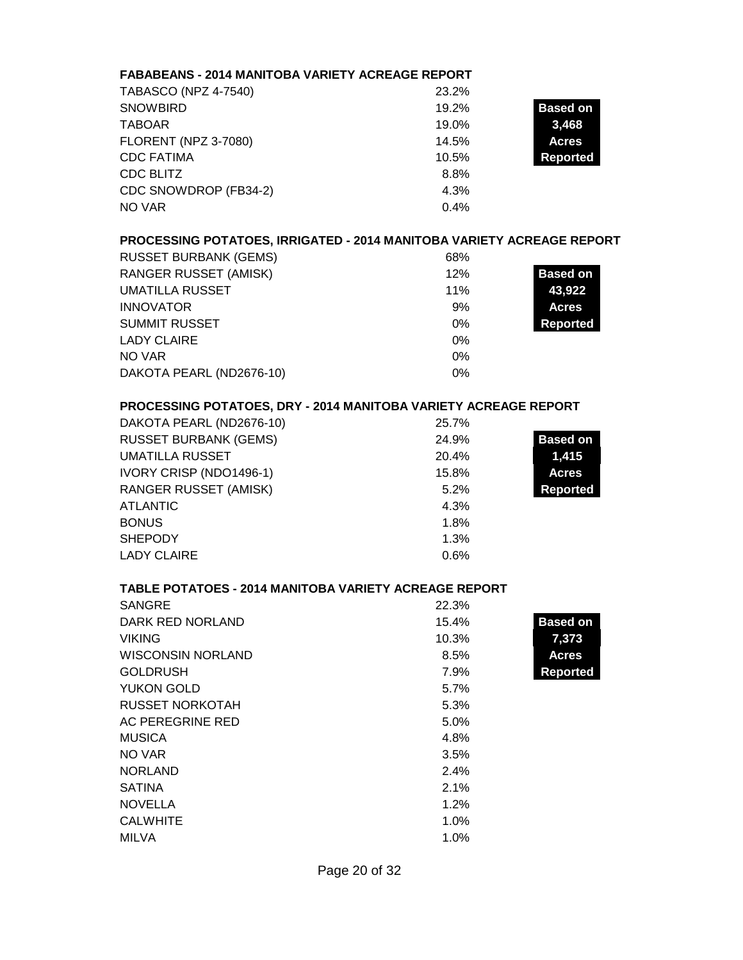| <b>FABABEANS - 2014 MANITOBA VARIETY ACREAGE REPORT</b>               |       |                 |
|-----------------------------------------------------------------------|-------|-----------------|
| <b>TABASCO (NPZ 4-7540)</b>                                           | 23.2% |                 |
| <b>SNOWBIRD</b>                                                       | 19.2% | <b>Based on</b> |
| <b>TABOAR</b>                                                         | 19.0% | 3,468           |
| <b>FLORENT (NPZ 3-7080)</b>                                           | 14.5% | <b>Acres</b>    |
| <b>CDC FATIMA</b>                                                     | 10.5% | <b>Reported</b> |
| <b>CDC BLITZ</b>                                                      | 8.8%  |                 |
| CDC SNOWDROP (FB34-2)                                                 | 4.3%  |                 |
| <b>NO VAR</b>                                                         | 0.4%  |                 |
| PROCESSING POTATOES, IRRIGATED - 2014 MANITOBA VARIETY ACREAGE REPORT |       |                 |
| <b>RUSSET BURBANK (GEMS)</b>                                          | 68%   |                 |
| <b>RANGER RUSSET (AMISK)</b>                                          | 12%   | <b>Based on</b> |
| <b>UMATILLA RUSSET</b>                                                | 11%   | 43,922          |
| <b>INNOVATOR</b>                                                      | 9%    | <b>Acres</b>    |
| <b>SUMMIT RUSSET</b>                                                  | 0%    | <b>Reported</b> |
| <b>LADY CLAIRE</b>                                                    | $0\%$ |                 |
| <b>NO VAR</b>                                                         | 0%    |                 |
| DAKOTA PEARL (ND2676-10)                                              | 0%    |                 |
| PROCESSING POTATOES, DRY - 2014 MANITOBA VARIETY ACREAGE REPORT       |       |                 |
| DAKOTA PEARL (ND2676-10)                                              | 25.7% |                 |
| <b>RUSSET BURBANK (GEMS)</b>                                          | 24.9% | <b>Based on</b> |
| <b>UMATILLA RUSSET</b>                                                | 20.4% | 1,415           |
| IVORY CRISP (NDO1496-1)                                               | 15.8% | <b>Acres</b>    |
| <b>RANGER RUSSET (AMISK)</b>                                          | 5.2%  | <b>Reported</b> |
| <b>ATLANTIC</b>                                                       | 4.3%  |                 |
| <b>BONUS</b>                                                          | 1.8%  |                 |
| <b>SHEPODY</b>                                                        | 1.3%  |                 |
| <b>LADY CLAIRE</b>                                                    | 0.6%  |                 |
|                                                                       |       |                 |
| <b>TABLE POTATOES - 2014 MANITOBA VARIETY ACREAGE REPORT</b>          |       |                 |
| <b>SANGRE</b>                                                         | 22.3% |                 |
| DARK RED NORLAND                                                      | 15.4% | <b>Based on</b> |
| <b>VIKING</b>                                                         | 10.3% | 7,373           |
| <b>WISCONSIN NORLAND</b>                                              | 8.5%  | <b>Acres</b>    |
| <b>GOLDRUSH</b>                                                       | 7.9%  | <b>Reported</b> |
| YUKON GOLD                                                            | 5.7%  |                 |
| <b>RUSSET NORKOTAH</b>                                                | 5.3%  |                 |
| AC PEREGRINE RED                                                      | 5.0%  |                 |
| <b>MUSICA</b>                                                         | 4.8%  |                 |
| NO VAR                                                                | 3.5%  |                 |
| <b>NORLAND</b>                                                        | 2.4%  |                 |
| <b>SATINA</b>                                                         | 2.1%  |                 |
| <b>NOVELLA</b>                                                        | 1.2%  |                 |
| <b>CALWHITE</b>                                                       | 1.0%  |                 |
| <b>MILVA</b>                                                          | 1.0%  |                 |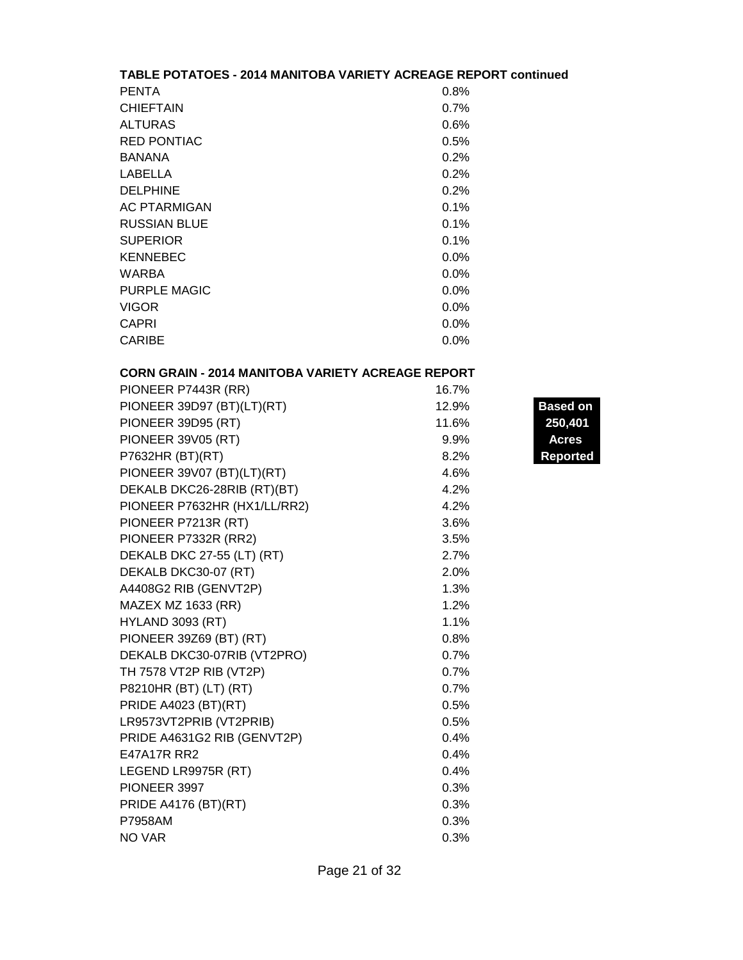| TABLE POTATOES - 2014 MANITOBA VARIETY ACREAGE REPORT continued |         |  |
|-----------------------------------------------------------------|---------|--|
| <b>PENTA</b>                                                    | $0.8\%$ |  |
| <b>CHIEFTAIN</b>                                                | 0.7%    |  |
| <b>ALTURAS</b>                                                  | 0.6%    |  |
| <b>RED PONTIAC</b>                                              | 0.5%    |  |
| <b>BANANA</b>                                                   | 0.2%    |  |
| LABELLA                                                         | 0.2%    |  |
| <b>DELPHINE</b>                                                 | 0.2%    |  |
| <b>AC PTARMIGAN</b>                                             | 0.1%    |  |
| <b>RUSSIAN BLUE</b>                                             | 0.1%    |  |
| <b>SUPERIOR</b>                                                 | 0.1%    |  |
| <b>KENNEBEC</b>                                                 | $0.0\%$ |  |
| <b>WARBA</b>                                                    | $0.0\%$ |  |
| PURPLE MAGIC                                                    | $0.0\%$ |  |
| <b>VIGOR</b>                                                    | $0.0\%$ |  |
| CAPRI                                                           | $0.0\%$ |  |
| <b>CARIBE</b>                                                   | $0.0\%$ |  |

# **CORN GRAIN - 2014 MANITOBA VARIETY ACREAGE REPORT**

| PIONEER P7443R (RR)          | 16.7%   |                |
|------------------------------|---------|----------------|
| PIONEER 39D97 (BT)(LT)(RT)   | 12.9%   | <b>Based o</b> |
| PIONEER 39D95 (RT)           | 11.6%   | 250,40         |
| <b>PIONEER 39V05 (RT)</b>    | $9.9\%$ | <b>Acres</b>   |
| P7632HR (BT)(RT)             | 8.2%    | <b>Reporte</b> |
| PIONEER 39V07 (BT)(LT)(RT)   | 4.6%    |                |
| DEKALB DKC26-28RIB (RT)(BT)  | 4.2%    |                |
| PIONEER P7632HR (HX1/LL/RR2) | 4.2%    |                |
| PIONEER P7213R (RT)          | 3.6%    |                |
| PIONEER P7332R (RR2)         | 3.5%    |                |
| DEKALB DKC 27-55 (LT) (RT)   | 2.7%    |                |
| DEKALB DKC30-07 (RT)         | 2.0%    |                |
| A4408G2 RIB (GENVT2P)        | 1.3%    |                |
| MAZEX MZ 1633 (RR)           | 1.2%    |                |
| <b>HYLAND 3093 (RT)</b>      | 1.1%    |                |
| PIONEER 39Z69 (BT) (RT)      | 0.8%    |                |
| DEKALB DKC30-07RIB (VT2PRO)  | 0.7%    |                |
| TH 7578 VT2P RIB (VT2P)      | 0.7%    |                |
| P8210HR (BT) (LT) (RT)       | 0.7%    |                |
| PRIDE A4023 (BT)(RT)         | 0.5%    |                |
| LR9573VT2PRIB (VT2PRIB)      | 0.5%    |                |
| PRIDE A4631G2 RIB (GENVT2P)  | 0.4%    |                |
| <b>E47A17R RR2</b>           | 0.4%    |                |
| LEGEND LR9975R (RT)          | 0.4%    |                |
| PIONEER 3997                 | 0.3%    |                |
| PRIDE A4176 (BT)(RT)         | 0.3%    |                |
| P7958AM                      | 0.3%    |                |
| NO VAR                       | 0.3%    |                |

**Based on** PIONEER 39D95 (RT) 29,171 11.6% **250,401 Reported**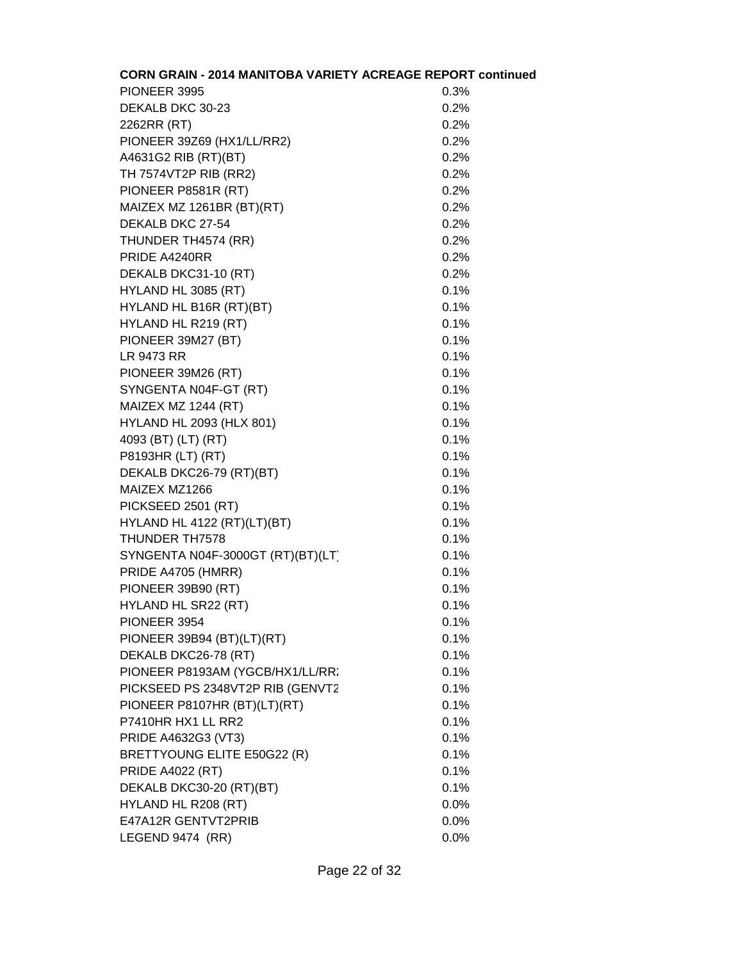| <b>CORN GRAIN - 2014 MANITOBA VARIETY ACREAGE REPORT continued</b> |      |
|--------------------------------------------------------------------|------|
| PIONEER 3995                                                       | 0.3% |
| DEKALB DKC 30-23                                                   | 0.2% |
| 2262RR (RT)                                                        | 0.2% |
| PIONEER 39Z69 (HX1/LL/RR2)                                         | 0.2% |
| A4631G2 RIB (RT)(BT)                                               | 0.2% |
| TH 7574VT2P RIB (RR2)                                              | 0.2% |
| PIONEER P8581R (RT)                                                | 0.2% |
| MAIZEX MZ 1261BR (BT)(RT)                                          | 0.2% |
| DEKALB DKC 27-54                                                   | 0.2% |
| THUNDER TH4574 (RR)                                                | 0.2% |
| PRIDE A4240RR                                                      | 0.2% |
| DEKALB DKC31-10 (RT)                                               | 0.2% |
| HYLAND HL 3085 (RT)                                                | 0.1% |
| HYLAND HL B16R (RT)(BT)                                            | 0.1% |
| HYLAND HL R219 (RT)                                                | 0.1% |
| PIONEER 39M27 (BT)                                                 | 0.1% |
| <b>LR 9473 RR</b>                                                  | 0.1% |
| PIONEER 39M26 (RT)                                                 | 0.1% |
| SYNGENTA N04F-GT (RT)                                              | 0.1% |
| MAIZEX MZ 1244 (RT)                                                | 0.1% |
| <b>HYLAND HL 2093 (HLX 801)</b>                                    | 0.1% |
| 4093 (BT) (LT) (RT)                                                | 0.1% |
| P8193HR (LT) (RT)                                                  | 0.1% |
| DEKALB DKC26-79 (RT)(BT)                                           | 0.1% |
| MAIZEX MZ1266                                                      | 0.1% |
| PICKSEED 2501 (RT)                                                 | 0.1% |
| HYLAND HL 4122 (RT)(LT)(BT)                                        | 0.1% |
| THUNDER TH7578                                                     | 0.1% |
| SYNGENTA N04F-3000GT (RT)(BT)(LT)                                  | 0.1% |
| PRIDE A4705 (HMRR)                                                 | 0.1% |
| PIONEER 39B90 (RT)                                                 | 0.1% |
| HYLAND HL SR22 (RT)                                                | 0.1% |
| PIONEER 3954                                                       | 0.1% |
| PIONEER 39B94 (BT)(LT)(RT)                                         | 0.1% |
| DEKALB DKC26-78 (RT)                                               | 0.1% |
| PIONEER P8193AM (YGCB/HX1/LL/RR:                                   | 0.1% |
| PICKSEED PS 2348VT2P RIB (GENVT2                                   | 0.1% |
| PIONEER P8107HR (BT)(LT)(RT)                                       | 0.1% |
| P7410HR HX1 LL RR2                                                 | 0.1% |
| PRIDE A4632G3 (VT3)                                                | 0.1% |
| BRETTYOUNG ELITE E50G22 (R)                                        | 0.1% |
| <b>PRIDE A4022 (RT)</b>                                            | 0.1% |
| DEKALB DKC30-20 (RT)(BT)                                           | 0.1% |
| HYLAND HL R208 (RT)                                                | 0.0% |
| E47A12R GENTVT2PRIB                                                | 0.0% |
| LEGEND 9474 (RR)                                                   | 0.0% |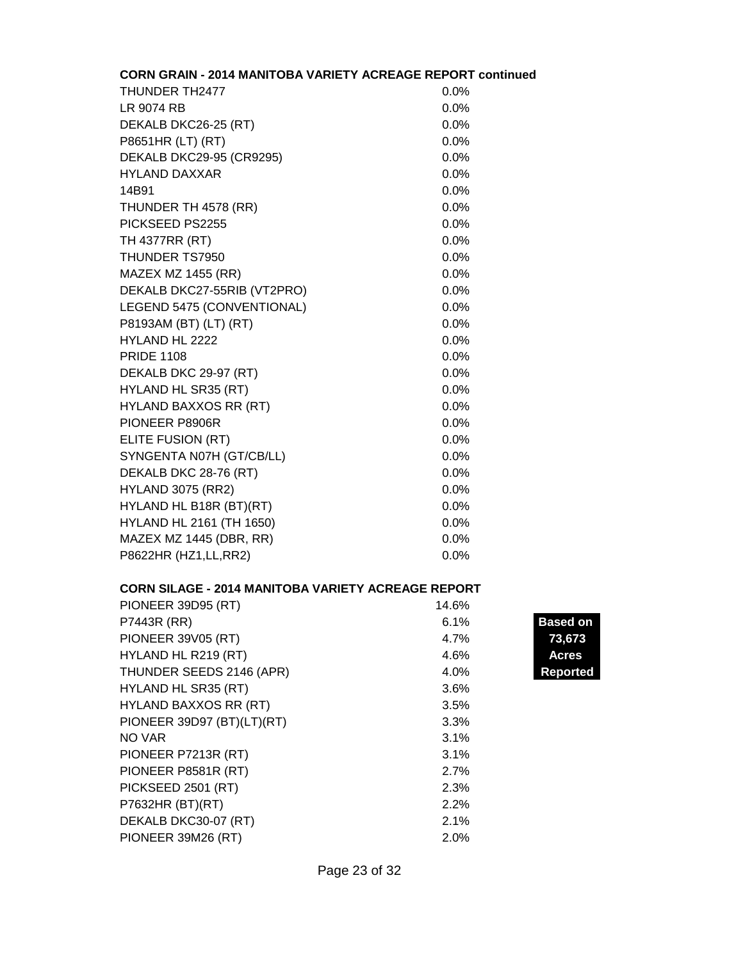| <b>CORN GRAIN - 2014 MANITOBA VARIETY ACREAGE REPORT continued</b> |         |
|--------------------------------------------------------------------|---------|
| THUNDER TH2477                                                     | 0.0%    |
| LR 9074 RB                                                         | 0.0%    |
| DEKALB DKC26-25 (RT)                                               | 0.0%    |
| P8651HR (LT) (RT)                                                  | 0.0%    |
| DEKALB DKC29-95 (CR9295)                                           | 0.0%    |
| <b>HYLAND DAXXAR</b>                                               | 0.0%    |
| 14B91                                                              | 0.0%    |
| THUNDER TH 4578 (RR)                                               | 0.0%    |
| PICKSEED PS2255                                                    | $0.0\%$ |
| TH 4377RR (RT)                                                     | 0.0%    |
| THUNDER TS7950                                                     | 0.0%    |
| <b>MAZEX MZ 1455 (RR)</b>                                          | $0.0\%$ |
| DEKALB DKC27-55RIB (VT2PRO)                                        | 0.0%    |
| LEGEND 5475 (CONVENTIONAL)                                         | 0.0%    |
| P8193AM (BT) (LT) (RT)                                             | 0.0%    |
| HYLAND HL 2222                                                     | 0.0%    |
| <b>PRIDE 1108</b>                                                  | $0.0\%$ |
| DEKALB DKC 29-97 (RT)                                              | 0.0%    |
| HYLAND HL SR35 (RT)                                                | 0.0%    |
| <b>HYLAND BAXXOS RR (RT)</b>                                       | $0.0\%$ |
| PIONEER P8906R                                                     | 0.0%    |
| ELITE FUSION (RT)                                                  | 0.0%    |
| SYNGENTA N07H (GT/CB/LL)                                           | 0.0%    |
| DEKALB DKC 28-76 (RT)                                              | 0.0%    |
| <b>HYLAND 3075 (RR2)</b>                                           | 0.0%    |
| HYLAND HL B18R (BT)(RT)                                            | 0.0%    |
| HYLAND HL 2161 (TH 1650)                                           | 0.0%    |
| MAZEX MZ 1445 (DBR, RR)                                            | 0.0%    |
| P8622HR (HZ1, LL, RR2)                                             | 0.0%    |

## **CORN SILAGE - 2014 MANITOBA VARIETY ACREAGE REPORT**

| PIONEER 39D95 (RT)           | 14.6% |                |
|------------------------------|-------|----------------|
| P7443R (RR)                  | 6.1%  | <b>Based o</b> |
| <b>PIONEER 39V05 (RT)</b>    | 4.7%  | 73,673         |
| HYLAND HL R219 (RT)          | 4.6%  | <b>Acres</b>   |
| THUNDER SEEDS 2146 (APR)     | 4.0%  | <b>Reporte</b> |
| HYLAND HL SR35 (RT)          | 3.6%  |                |
| <b>HYLAND BAXXOS RR (RT)</b> | 3.5%  |                |
| PIONEER 39D97 (BT)(LT)(RT)   | 3.3%  |                |
| NO VAR                       | 3.1%  |                |
| PIONEER P7213R (RT)          | 3.1%  |                |
| PIONEER P8581R (RT)          | 2.7%  |                |
| PICKSEED 2501 (RT)           | 2.3%  |                |
| P7632HR (BT)(RT)             | 2.2%  |                |
| DEKALB DKC30-07 (RT)         | 2.1%  |                |
| PIONEER 39M26 (RT)           | 2.0%  |                |

**Based on<br>73,673** Reported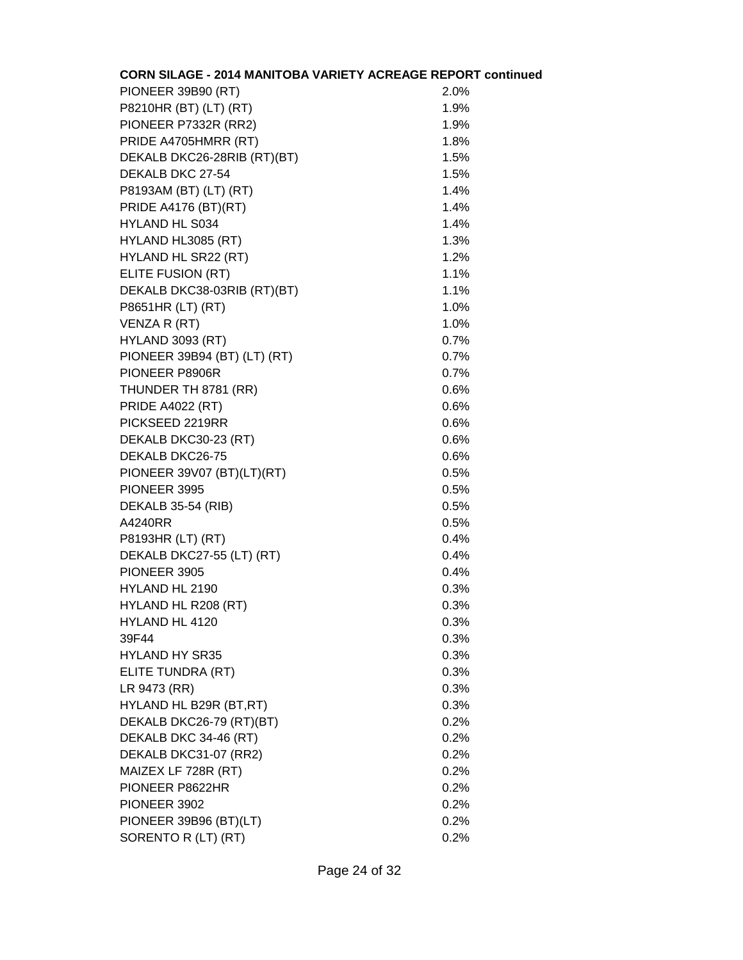| CORN SILAGE - 2014 MANITOBA VARIETY ACREAGE REPORT continued |      |
|--------------------------------------------------------------|------|
| PIONEER 39B90 (RT)                                           | 2.0% |
| P8210HR (BT) (LT) (RT)                                       | 1.9% |
| PIONEER P7332R (RR2)                                         | 1.9% |
| PRIDE A4705HMRR (RT)                                         | 1.8% |
| DEKALB DKC26-28RIB (RT)(BT)                                  | 1.5% |
| DEKALB DKC 27-54                                             | 1.5% |
| P8193AM (BT) (LT) (RT)                                       | 1.4% |
| <b>PRIDE A4176 (BT)(RT)</b>                                  | 1.4% |
| <b>HYLAND HL S034</b>                                        | 1.4% |
| HYLAND HL3085 (RT)                                           | 1.3% |
| HYLAND HL SR22 (RT)                                          | 1.2% |
| ELITE FUSION (RT)                                            | 1.1% |
| DEKALB DKC38-03RIB (RT)(BT)                                  | 1.1% |
| P8651HR (LT) (RT)                                            | 1.0% |
| VENZA R (RT)                                                 | 1.0% |
| <b>HYLAND 3093 (RT)</b>                                      | 0.7% |
| PIONEER 39B94 (BT) (LT) (RT)                                 | 0.7% |
| PIONEER P8906R                                               | 0.7% |
| THUNDER TH 8781 (RR)                                         | 0.6% |
| <b>PRIDE A4022 (RT)</b>                                      | 0.6% |
| PICKSEED 2219RR                                              | 0.6% |
| DEKALB DKC30-23 (RT)                                         | 0.6% |
| DEKALB DKC26-75                                              | 0.6% |
| PIONEER 39V07 (BT)(LT)(RT)                                   | 0.5% |
| PIONEER 3995                                                 | 0.5% |
| DEKALB 35-54 (RIB)                                           | 0.5% |
| A4240RR                                                      | 0.5% |
| P8193HR (LT) (RT)                                            | 0.4% |
| DEKALB DKC27-55 (LT) (RT)                                    | 0.4% |
| PIONEER 3905                                                 | 0.4% |
| HYLAND HL 2190                                               | 0.3% |
| HYLAND HL R208 (RT)                                          | 0.3% |
| HYLAND HL 4120                                               | 0.3% |
| 39F44                                                        | 0.3% |
| <b>HYLAND HY SR35</b>                                        | 0.3% |
| ELITE TUNDRA (RT)                                            | 0.3% |
| LR 9473 (RR)                                                 | 0.3% |
| HYLAND HL B29R (BT,RT)                                       | 0.3% |
| DEKALB DKC26-79 (RT)(BT)                                     | 0.2% |
| DEKALB DKC 34-46 (RT)                                        | 0.2% |
| DEKALB DKC31-07 (RR2)                                        | 0.2% |
| MAIZEX LF 728R (RT)                                          | 0.2% |
| PIONEER P8622HR                                              | 0.2% |
| PIONEER 3902                                                 | 0.2% |
| PIONEER 39B96 (BT)(LT)                                       | 0.2% |
| SORENTO R (LT) (RT)                                          | 0.2% |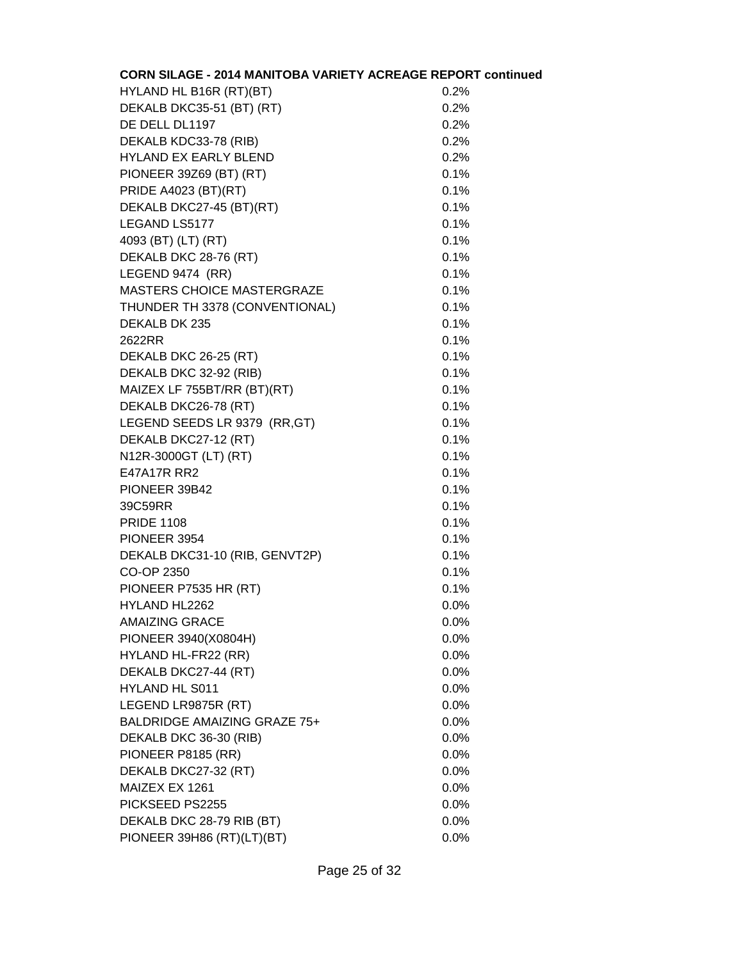| <b>CORN SILAGE - 2014 MANITOBA VARIETY ACREAGE REPORT continued</b> |         |
|---------------------------------------------------------------------|---------|
| HYLAND HL B16R (RT)(BT)                                             | 0.2%    |
| DEKALB DKC35-51 (BT) (RT)                                           | 0.2%    |
| DE DELL DL1197                                                      | 0.2%    |
| DEKALB KDC33-78 (RIB)                                               | 0.2%    |
| <b>HYLAND EX EARLY BLEND</b>                                        | 0.2%    |
| PIONEER 39Z69 (BT) (RT)                                             | 0.1%    |
| PRIDE A4023 (BT)(RT)                                                | 0.1%    |
| DEKALB DKC27-45 (BT)(RT)                                            | 0.1%    |
| LEGAND LS5177                                                       | 0.1%    |
| 4093 (BT) (LT) (RT)                                                 | 0.1%    |
| DEKALB DKC 28-76 (RT)                                               | 0.1%    |
| LEGEND 9474 (RR)                                                    | 0.1%    |
| MASTERS CHOICE MASTERGRAZE                                          | 0.1%    |
| THUNDER TH 3378 (CONVENTIONAL)                                      | 0.1%    |
| DEKALB DK 235                                                       | 0.1%    |
| 2622RR                                                              | 0.1%    |
| DEKALB DKC 26-25 (RT)                                               | 0.1%    |
| DEKALB DKC 32-92 (RIB)                                              | 0.1%    |
| MAIZEX LF 755BT/RR (BT)(RT)                                         | 0.1%    |
| DEKALB DKC26-78 (RT)                                                | 0.1%    |
| LEGEND SEEDS LR 9379 (RR, GT)                                       | 0.1%    |
| DEKALB DKC27-12 (RT)                                                | 0.1%    |
| N12R-3000GT (LT) (RT)                                               | 0.1%    |
| E47A17R RR2                                                         | 0.1%    |
| PIONEER 39B42                                                       | 0.1%    |
| 39C59RR                                                             | 0.1%    |
| <b>PRIDE 1108</b>                                                   | 0.1%    |
| PIONEER 3954                                                        | 0.1%    |
| DEKALB DKC31-10 (RIB, GENVT2P)                                      | 0.1%    |
| CO-OP 2350                                                          | 0.1%    |
| PIONEER P7535 HR (RT)                                               | 0.1%    |
| HYLAND HL2262                                                       | 0.0%    |
| <b>AMAIZING GRACE</b>                                               | 0.0%    |
| PIONEER 3940(X0804H)                                                | 0.0%    |
| HYLAND HL-FR22 (RR)                                                 | 0.0%    |
| DEKALB DKC27-44 (RT)                                                | $0.0\%$ |
| <b>HYLAND HL S011</b>                                               | 0.0%    |
| LEGEND LR9875R (RT)                                                 | 0.0%    |
| <b>BALDRIDGE AMAIZING GRAZE 75+</b>                                 | 0.0%    |
| DEKALB DKC 36-30 (RIB)                                              | 0.0%    |
| PIONEER P8185 (RR)                                                  | 0.0%    |
| DEKALB DKC27-32 (RT)                                                | 0.0%    |
| MAIZEX EX 1261                                                      | $0.0\%$ |
| PICKSEED PS2255                                                     | 0.0%    |
| DEKALB DKC 28-79 RIB (BT)                                           | 0.0%    |
| PIONEER 39H86 (RT)(LT)(BT)                                          | 0.0%    |
|                                                                     |         |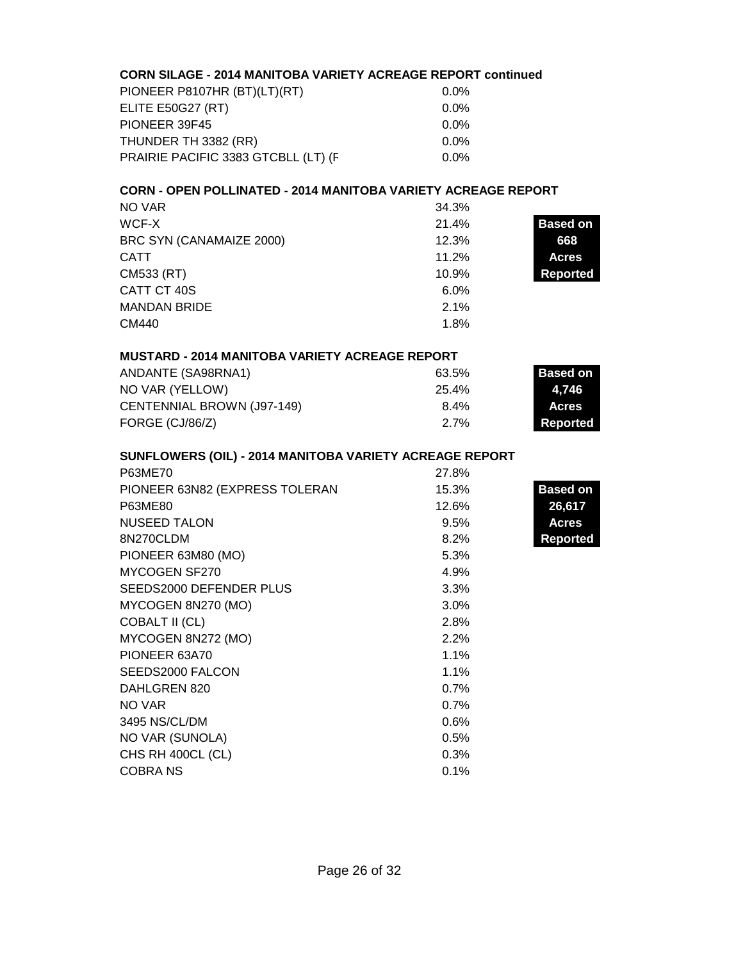# **CORN SILAGE - 2014 MANITOBA VARIETY ACREAGE REPORT continued**

| PIONEER P8107HR (BT)(LT)(RT)        | $0.0\%$ |
|-------------------------------------|---------|
| ELITE E50G27 (RT)                   | $0.0\%$ |
| PIONEER 39F45                       | $0.0\%$ |
| THUNDER TH 3382 (RR)                | $0.0\%$ |
| PRAIRIE PACIFIC 3383 GTCBLL (LT) (F | $0.0\%$ |

### **CORN - OPEN POLLINATED - 2014 MANITOBA VARIETY ACREAGE REPORT**

| NO VAR                   | 34.3% |                 |
|--------------------------|-------|-----------------|
| WCF-X                    | 21.4% | <b>Based on</b> |
| BRC SYN (CANAMAIZE 2000) | 12.3% | 668             |
| <b>CATT</b>              | 11.2% | <b>Acres</b>    |
| CM533 (RT)               | 10.9% | <b>Reported</b> |
| CATT CT 40S              | 6.0%  |                 |
| <b>MANDAN BRIDE</b>      | 2.1%  |                 |
| CM440                    | 1.8%  |                 |

#### **MUSTARD - 2014 MANITOBA VARIETY ACREAGE REPORT**

| ANDANTE (SA98RNA1)         | 63.5%      | Based on     |
|----------------------------|------------|--------------|
| NO VAR (YELLOW)            | 25.4%      | 4.746        |
| CENTENNIAL BROWN (J97-149) | $8.4\%$    | <b>Acres</b> |
| FORGE (CJ/86/Z)            | <b>27%</b> | Reported     |

# **SUNFLOWERS (OIL) - 2014 MANITOBA VARIETY ACREAGE REPORT**

| P63ME70                        | 27.8% |                 |
|--------------------------------|-------|-----------------|
| PIONEER 63N82 (EXPRESS TOLERAN | 15.3% | <b>Based on</b> |
| P63ME80                        | 12.6% | 26,617          |
| <b>NUSEED TALON</b>            | 9.5%  | <b>Acres</b>    |
| 8N270CLDM                      | 8.2%  | <b>Reported</b> |
| PIONEER 63M80 (MO)             | 5.3%  |                 |
| MYCOGEN SF270                  | 4.9%  |                 |
| SEEDS2000 DEFENDER PLUS        | 3.3%  |                 |
| MYCOGEN 8N270 (MO)             | 3.0%  |                 |
| <b>COBALT II (CL)</b>          | 2.8%  |                 |
| MYCOGEN 8N272 (MO)             | 2.2%  |                 |
| PIONEER 63A70                  | 1.1%  |                 |
| SEEDS2000 FALCON               | 1.1%  |                 |
| DAHLGREN 820                   | 0.7%  |                 |
| NO VAR                         | 0.7%  |                 |
| 3495 NS/CL/DM                  | 0.6%  |                 |
| NO VAR (SUNOLA)                | 0.5%  |                 |
| CHS RH 400CL (CL)              | 0.3%  |                 |
| <b>COBRANS</b>                 | 0.1%  |                 |
|                                |       |                 |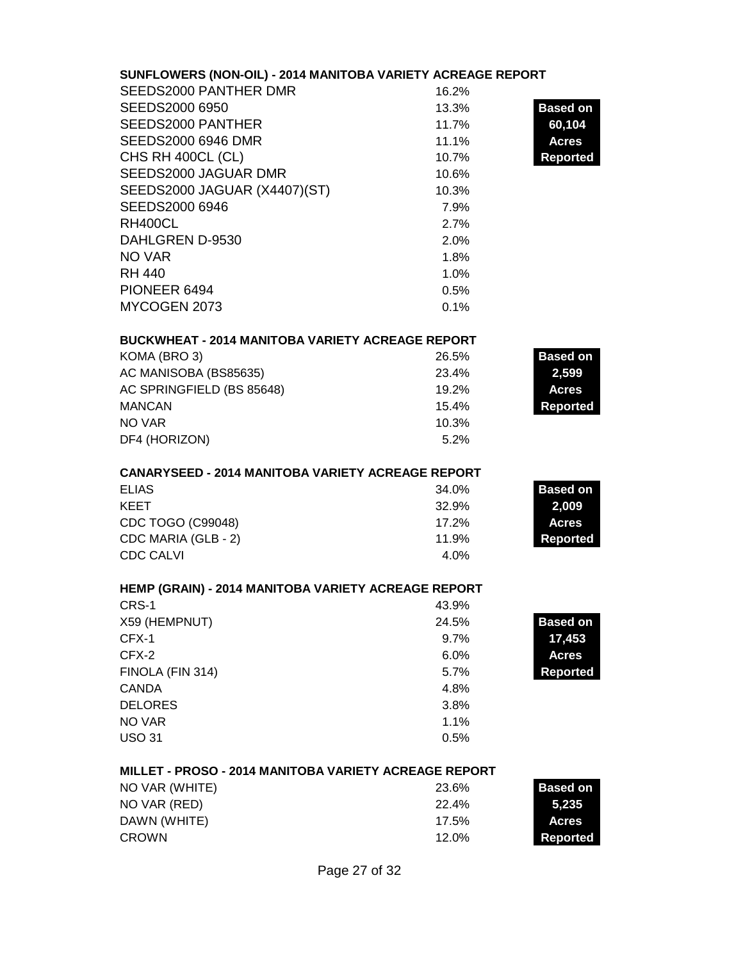| SUNFLOWERS (NON-OIL) - 2014 MANITOBA VARIETY ACREAGE REPORT |                                          |
|-------------------------------------------------------------|------------------------------------------|
| SEEDS2000 PANTHER DMR                                       | 16.2%                                    |
| SEEDS2000 6950<br><b>SEEDS2000 PANTHER</b>                  | <b>Based on</b><br>13.3%                 |
| <b>SEEDS2000 6946 DMR</b>                                   | 60,104<br>11.7%<br>11.1%                 |
| CHS RH 400CL (CL)                                           | <b>Acres</b><br>10.7%<br><b>Reported</b> |
| SEEDS2000 JAGUAR DMR                                        | 10.6%                                    |
| SEEDS2000 JAGUAR (X4407)(ST)                                | 10.3%                                    |
| SEEDS2000 6946                                              | 7.9%                                     |
| <b>RH400CL</b>                                              | 2.7%                                     |
| DAHLGREN D-9530                                             | 2.0%                                     |
| <b>NO VAR</b>                                               | 1.8%                                     |
| <b>RH 440</b>                                               | 1.0%                                     |
| PIONEER 6494                                                | 0.5%                                     |
| MYCOGEN 2073                                                | 0.1%                                     |
|                                                             |                                          |
| <b>BUCKWHEAT - 2014 MANITOBA VARIETY ACREAGE REPORT</b>     |                                          |
| KOMA (BRO 3)                                                | <b>Based on</b><br>26.5%                 |
| AC MANISOBA (BS85635)                                       | 23.4%<br>2,599                           |
| AC SPRINGFIELD (BS 85648)                                   | 19.2%<br><b>Acres</b>                    |
| <b>MANCAN</b>                                               | 15.4%<br><b>Reported</b>                 |
| NO VAR                                                      | 10.3%                                    |
| DF4 (HORIZON)                                               | 5.2%                                     |
| <b>CANARYSEED - 2014 MANITOBA VARIETY ACREAGE REPORT</b>    |                                          |
| <b>ELIAS</b>                                                | <b>Based on</b><br>34.0%                 |
| <b>KEET</b>                                                 | 32.9%<br>2,009                           |
| CDC TOGO (C99048)                                           | 17.2%<br><b>Acres</b>                    |
| CDC MARIA (GLB - 2)                                         | 11.9%<br><b>Reported</b>                 |
| <b>CDC CALVI</b>                                            | 4.0%                                     |
|                                                             |                                          |
| HEMP (GRAIN) - 2014 MANITOBA VARIETY ACREAGE REPORT         |                                          |
| CRS-1                                                       | 43.9%                                    |
| X59 (HEMPNUT)                                               | 24.5%<br><b>Based on</b>                 |
| CFX-1                                                       | 17,453<br>9.7%                           |
| CFX-2                                                       | 6.0%<br><b>Acres</b>                     |
| FINOLA (FIN 314)                                            | 5.7%<br><b>Reported</b>                  |
| <b>CANDA</b>                                                | 4.8%                                     |
| <b>DELORES</b>                                              | 3.8%                                     |
| NO VAR                                                      | 1.1%                                     |
| <b>USO 31</b>                                               | 0.5%                                     |
| MILLET - PROSO - 2014 MANITOBA VARIETY ACREAGE REPORT       |                                          |
| NO VAR (WHITE)                                              | <b>Based on</b><br>23.6%                 |
| NO VAR (RED)                                                | 22.4%<br>5,235                           |
| DAWN (WHITE)                                                | 17.5%<br><b>Acres</b>                    |
| <b>CROWN</b>                                                | 12.0%<br><b>Reported</b>                 |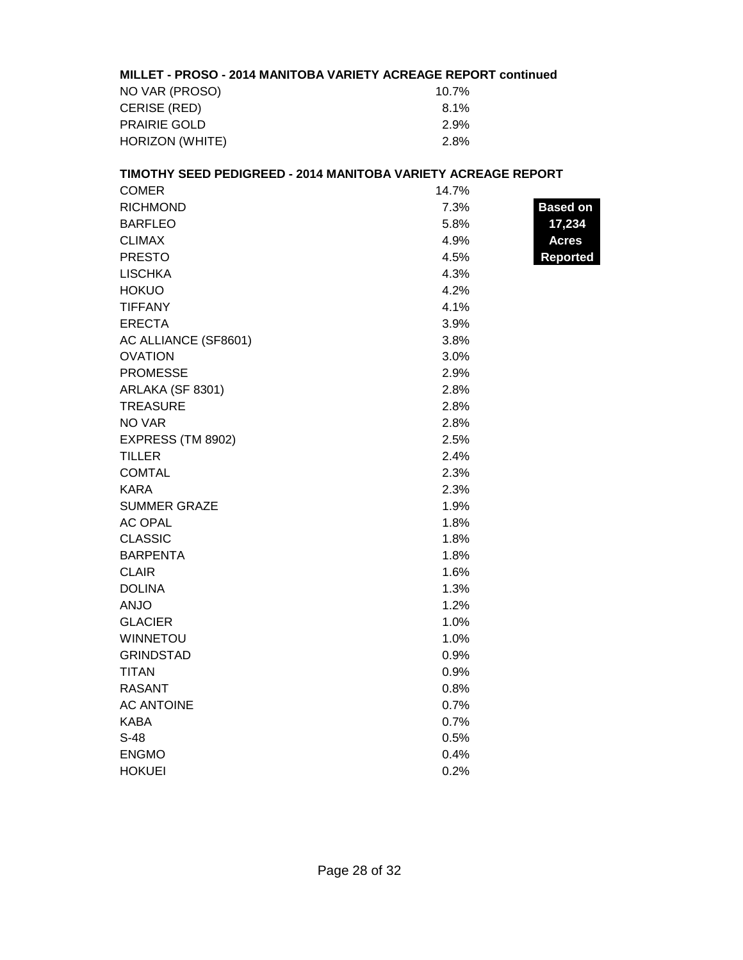### **MILLET - PROSO - 2014 MANITOBA VARIETY ACREAGE REPORT continued**

| NO VAR (PROSO)      | 10.7%   |
|---------------------|---------|
| CERISE (RED)        | $8.1\%$ |
| <b>PRAIRIE GOLD</b> | 2.9%    |
| HORIZON (WHITE)     | 2.8%    |

# **TIMOTHY SEED PEDIGREED - 2014 MANITOBA VARIETY ACREAGE REPORT** COMER 14.7% RICHMOND **Based on Based on Based on Based on Based on** BARFLEO **17,234** CLIMAX 842 4.9% **Acres**  PRESTO **Reported** LISCHKA 4.3% HOKUO 4.2% TIFFANY 4.1% ERECTA 3.9% AC ALLIANCE (SF8601) 3.8% OVATION 3.0% PROMESSE 2.9% ARLAKA (SF 8301) 2.8% TREASURE 2.8%  $NO VAR$  2.8% EXPRESS (TM 8902) 2.5%  $\blacksquare$ TILLER  $2.4\%$ COMTAL 2.3%  $KARA$  2.3% SUMMER GRAZE 320 1.9% AC OPAL 1.8% CLASSIC 1.8% BARPENTA 31.8% CLAIR 276 1.6% DOLINA 2.3%  $ANJO$  and  $1.2\%$ GLACIER 1.0% WINNETOU 1.0% GRINDSTAD 0.9%  $\blacksquare$ TITAN  $0.9\%$ RASANT 0.8% AC ANTOINE 0.7%  $\sf KABA$  116 0.7%  $S-48$  0.5% ENGMO 8.4%

HOKUEI 8.2%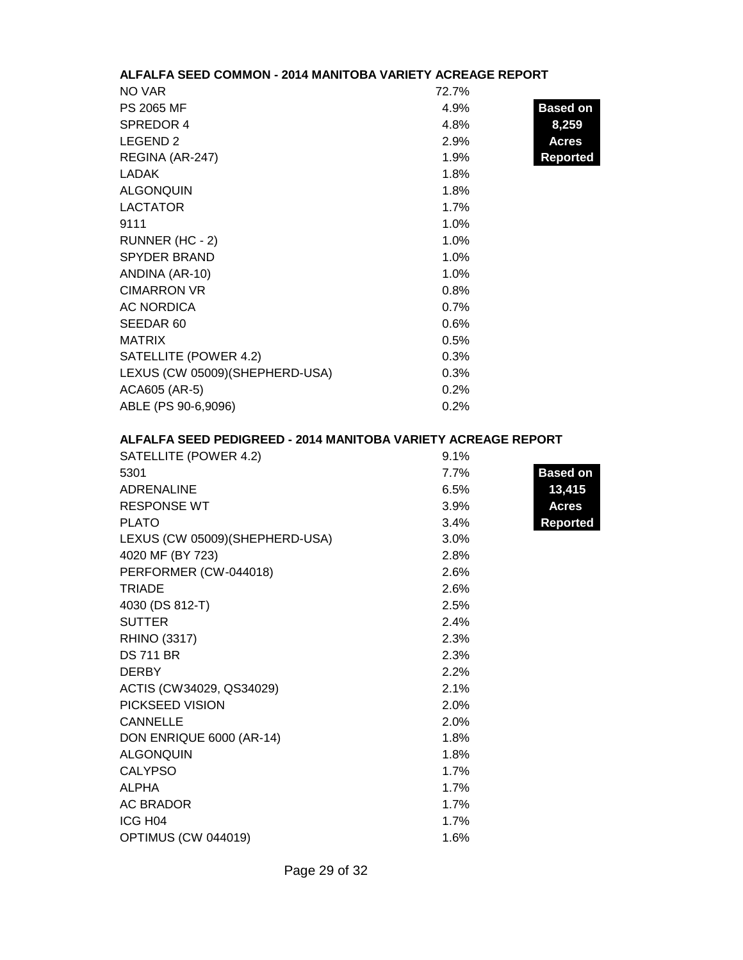# **ALFALFA SEED COMMON - 2014 MANITOBA VARIETY ACREAGE REPORT**

| NO VAR                          | 72.7% |                 |
|---------------------------------|-------|-----------------|
| <b>PS 2065 MF</b>               | 4.9%  | <b>Based on</b> |
| SPREDOR 4                       | 4.8%  | 8,259           |
| LEGEND <sub>2</sub>             | 2.9%  | <b>Acres</b>    |
| REGINA (AR-247)                 | 1.9%  | Reported        |
| <b>LADAK</b>                    | 1.8%  |                 |
| <b>ALGONQUIN</b>                | 1.8%  |                 |
| <b>LACTATOR</b>                 | 1.7%  |                 |
| 9111                            | 1.0%  |                 |
| RUNNER (HC - 2)                 | 1.0%  |                 |
| <b>SPYDER BRAND</b>             | 1.0%  |                 |
| ANDINA (AR-10)                  | 1.0%  |                 |
| <b>CIMARRON VR</b>              | 0.8%  |                 |
| <b>AC NORDICA</b>               | 0.7%  |                 |
| SEEDAR 60                       | 0.6%  |                 |
| <b>MATRIX</b>                   | 0.5%  |                 |
| SATELLITE (POWER 4.2)           | 0.3%  |                 |
| LEXUS (CW 05009) (SHEPHERD-USA) | 0.3%  |                 |
| ACA605 (AR-5)                   | 0.2%  |                 |
| ABLE (PS 90-6,9096)             | 0.2%  |                 |

# **ALFALFA SEED PEDIGREED - 2014 MANITOBA VARIETY ACREAGE REPORT**

| SATELLITE (POWER 4.2)           | 9.1% |                 |
|---------------------------------|------|-----------------|
| 5301                            | 7.7% | <b>Based on</b> |
| <b>ADRENALINE</b>               | 6.5% | 13,415          |
| <b>RESPONSE WT</b>              | 3.9% | <b>Acres</b>    |
| <b>PLATO</b>                    | 3.4% | <b>Reported</b> |
| LEXUS (CW 05009) (SHEPHERD-USA) | 3.0% |                 |
| 4020 MF (BY 723)                | 2.8% |                 |
| PERFORMER (CW-044018)           | 2.6% |                 |
| <b>TRIADE</b>                   | 2.6% |                 |
| 4030 (DS 812-T)                 | 2.5% |                 |
| <b>SUTTER</b>                   | 2.4% |                 |
| <b>RHINO (3317)</b>             | 2.3% |                 |
| <b>DS 711 BR</b>                | 2.3% |                 |
| <b>DERBY</b>                    | 2.2% |                 |
| ACTIS (CW34029, QS34029)        | 2.1% |                 |
| PICKSEED VISION                 | 2.0% |                 |
| <b>CANNELLE</b>                 | 2.0% |                 |
| DON ENRIQUE 6000 (AR-14)        | 1.8% |                 |
| <b>ALGONQUIN</b>                | 1.8% |                 |
| <b>CALYPSO</b>                  | 1.7% |                 |
| <b>ALPHA</b>                    | 1.7% |                 |
| <b>AC BRADOR</b>                | 1.7% |                 |
| ICG H04                         | 1.7% |                 |
| OPTIMUS (CW 044019)             | 1.6% |                 |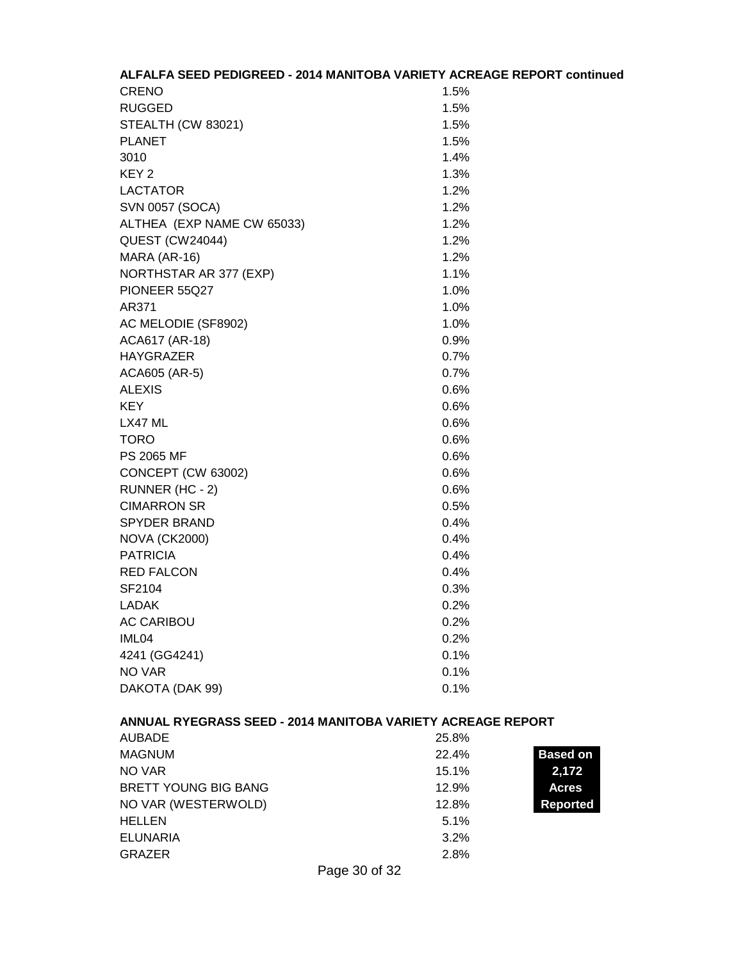| ALFALFA SEED PEDIGREED - 2014 MANITOBA VARIETY ACREAGE REPORT continued |                          |
|-------------------------------------------------------------------------|--------------------------|
| <b>CRENO</b>                                                            | 1.5%                     |
| <b>RUGGED</b>                                                           | 1.5%                     |
| STEALTH (CW 83021)                                                      | 1.5%                     |
| <b>PLANET</b>                                                           | 1.5%                     |
| 3010                                                                    | 1.4%                     |
| KEY <sub>2</sub>                                                        | 1.3%                     |
| <b>LACTATOR</b>                                                         | 1.2%                     |
| <b>SVN 0057 (SOCA)</b>                                                  | 1.2%                     |
| ALTHEA (EXP NAME CW 65033)                                              | 1.2%                     |
| <b>QUEST (CW24044)</b>                                                  | 1.2%                     |
| MARA (AR-16)                                                            | 1.2%                     |
| NORTHSTAR AR 377 (EXP)                                                  | 1.1%                     |
| PIONEER 55Q27                                                           | 1.0%                     |
| AR371                                                                   | 1.0%                     |
| AC MELODIE (SF8902)                                                     | 1.0%                     |
| ACA617 (AR-18)                                                          | 0.9%                     |
| <b>HAYGRAZER</b>                                                        | 0.7%                     |
| ACA605 (AR-5)                                                           | 0.7%                     |
| <b>ALEXIS</b>                                                           | 0.6%                     |
| <b>KEY</b>                                                              | 0.6%                     |
| LX47 ML                                                                 | 0.6%                     |
| <b>TORO</b>                                                             | 0.6%                     |
| PS 2065 MF                                                              | 0.6%                     |
| CONCEPT (CW 63002)                                                      | 0.6%                     |
| RUNNER (HC - 2)                                                         | 0.6%                     |
| <b>CIMARRON SR</b>                                                      | 0.5%                     |
| <b>SPYDER BRAND</b>                                                     | 0.4%                     |
| <b>NOVA (CK2000)</b>                                                    | 0.4%                     |
| <b>PATRICIA</b>                                                         | 0.4%                     |
| <b>RED FALCON</b>                                                       | 0.4%                     |
| SF2104                                                                  | 0.3%                     |
| <b>LADAK</b>                                                            | 0.2%                     |
| <b>AC CARIBOU</b>                                                       | 0.2%                     |
| IML04                                                                   | 0.2%                     |
| 4241 (GG4241)                                                           | 0.1%                     |
| <b>NO VAR</b>                                                           | 0.1%                     |
| DAKOTA (DAK 99)                                                         | 0.1%                     |
| ANNUAL RYEGRASS SEED - 2014 MANITOBA VARIETY ACREAGE REPORT             |                          |
| <b>AUBADE</b>                                                           | 25.8%                    |
| <b>MAGNUM</b>                                                           | <b>Based on</b><br>22.4% |
| NO VAR                                                                  | 15.1%<br>2,172           |
| <b>BRETT YOUNG BIG BANG</b>                                             | 12.9%<br><b>Acres</b>    |
| NO VAR (WESTERWOLD)                                                     | 12.8%<br><b>Reported</b> |
| <b>HELLEN</b>                                                           | 5.1%                     |
| <b>ELUNARIA</b>                                                         | 3.2%                     |
| <b>GRAZER</b>                                                           | 2.8%                     |

Page 30 of 32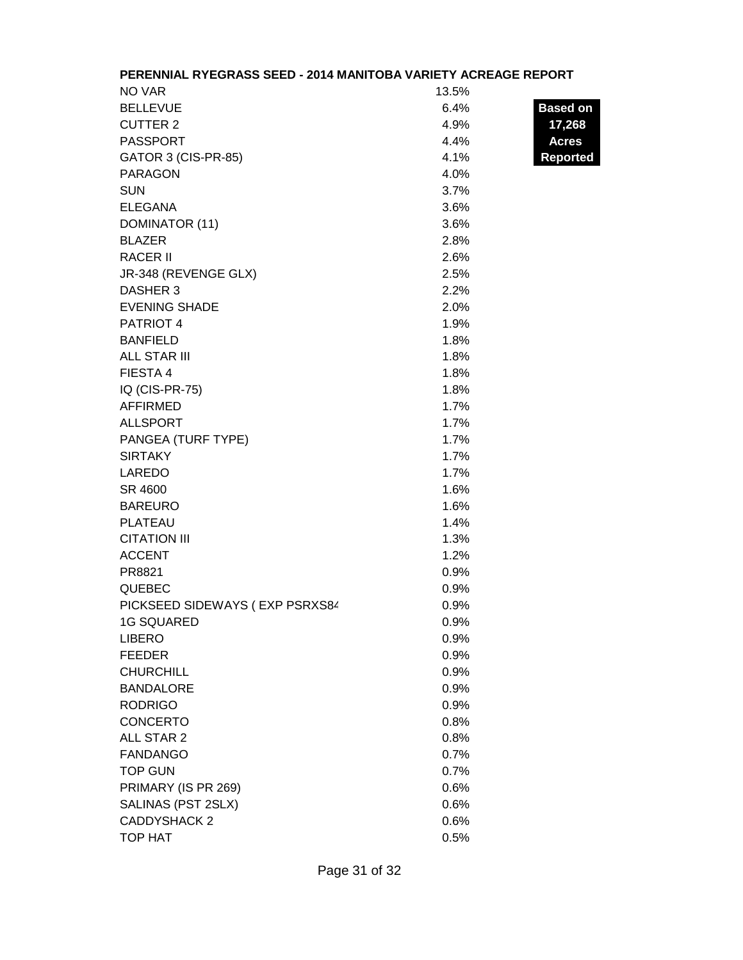|                                | PERENNIAL RYEGRASS SEED - 2014 MANITOBA VARIETY ACREAGE REPORT |                 |
|--------------------------------|----------------------------------------------------------------|-----------------|
| NO VAR                         | 13.5%                                                          |                 |
| <b>BELLEVUE</b>                | 6.4%                                                           | <b>Based on</b> |
| <b>CUTTER 2</b>                | 4.9%                                                           | 17,268          |
| <b>PASSPORT</b>                | 4.4%                                                           | <b>Acres</b>    |
| GATOR 3 (CIS-PR-85)            | 4.1%                                                           | <b>Reported</b> |
| <b>PARAGON</b>                 | 4.0%                                                           |                 |
| <b>SUN</b>                     | 3.7%                                                           |                 |
| <b>ELEGANA</b>                 | 3.6%                                                           |                 |
| DOMINATOR (11)                 | 3.6%                                                           |                 |
| <b>BLAZER</b>                  | 2.8%                                                           |                 |
| <b>RACER II</b>                | 2.6%                                                           |                 |
| JR-348 (REVENGE GLX)           | 2.5%                                                           |                 |
| DASHER 3                       | 2.2%                                                           |                 |
| <b>EVENING SHADE</b>           | 2.0%                                                           |                 |
| PATRIOT 4                      | 1.9%                                                           |                 |
| <b>BANFIELD</b>                | 1.8%                                                           |                 |
| <b>ALL STAR III</b>            | 1.8%                                                           |                 |
| FIESTA 4                       | 1.8%                                                           |                 |
| IQ (CIS-PR-75)                 | 1.8%                                                           |                 |
| <b>AFFIRMED</b>                | 1.7%                                                           |                 |
| <b>ALLSPORT</b>                | 1.7%                                                           |                 |
| PANGEA (TURF TYPE)             | 1.7%                                                           |                 |
| <b>SIRTAKY</b>                 | 1.7%                                                           |                 |
| LAREDO                         | 1.7%                                                           |                 |
| SR 4600                        | 1.6%                                                           |                 |
| <b>BAREURO</b>                 | 1.6%                                                           |                 |
| PLATEAU                        | 1.4%                                                           |                 |
| <b>CITATION III</b>            | 1.3%                                                           |                 |
| <b>ACCENT</b>                  | 1.2%                                                           |                 |
| PR8821                         | 0.9%                                                           |                 |
| <b>QUEBEC</b>                  | 0.9%                                                           |                 |
| PICKSEED SIDEWAYS (EXP PSRXS84 | 0.9%                                                           |                 |
| <b>1G SQUARED</b>              | 0.9%                                                           |                 |
| <b>LIBERO</b>                  | 0.9%                                                           |                 |
| <b>FEEDER</b>                  | 0.9%                                                           |                 |
| <b>CHURCHILL</b>               | 0.9%                                                           |                 |
| <b>BANDALORE</b>               | 0.9%                                                           |                 |
| <b>RODRIGO</b>                 | 0.9%                                                           |                 |
| <b>CONCERTO</b>                | 0.8%                                                           |                 |
| ALL STAR 2                     | 0.8%                                                           |                 |
| <b>FANDANGO</b>                | 0.7%                                                           |                 |
| <b>TOP GUN</b>                 | 0.7%                                                           |                 |
| PRIMARY (IS PR 269)            | 0.6%                                                           |                 |
| SALINAS (PST 2SLX)             | 0.6%                                                           |                 |
| <b>CADDYSHACK 2</b>            | 0.6%                                                           |                 |
| TOP HAT                        | 0.5%                                                           |                 |